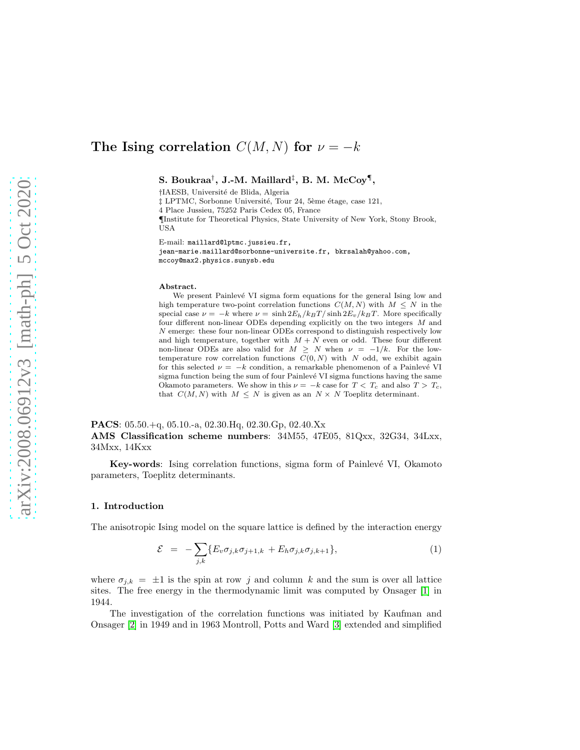## S. Boukraa $^\dagger, \text{ J.-M. } \text{Maillard}^\ddagger, \text{ B. } \text{M. } \text{McCoy}^\P,$

†IAESB, Universit´e de Blida, Algeria

 $\ddagger$  LPTMC, Sorbonne Université, Tour 24, 5ème étage, case 121,

4 Place Jussieu, 75252 Paris Cedex 05, France

¶Institute for Theoretical Physics, State University of New York, Stony Brook, **USA** 

E-mail: maillard@lptmc.jussieu.fr, jean-marie.maillard@sorbonne-universite.fr, bkrsalah@yahoo.com, mccoy@max2.physics.sunysb.edu

#### Abstract.

We present Painlevé VI sigma form equations for the general Ising low and high temperature two-point correlation functions  $C(M, N)$  with  $M \leq N$  in the special case  $\nu = -k$  where  $\nu = \sinh 2E_h / k_BT / \sinh 2E_v / k_BT$ . More specifically four different non-linear ODEs depending explicitly on the two integers M and N emerge: these four non-linear ODEs correspond to distinguish respectively low and high temperature, together with  $M + N$  even or odd. These four different non-linear ODEs are also valid for  $M \geq N$  when  $\nu = -1/k$ . For the lowtemperature row correlation functions  $\overline{C}(0, N)$  with N odd, we exhibit again for this selected  $\nu = -k$  condition, a remarkable phenomenon of a Painlevé VI sigma function being the sum of four Painlevé VI sigma functions having the same Okamoto parameters. We show in this  $\nu = -k$  case for  $T < T_c$  and also  $T > T_c$ , that  $C(M, N)$  with  $M \leq N$  is given as an  $N \times N$  Toeplitz determinant.

PACS: 05.50.+q, 05.10.-a, 02.30.Hq, 02.30.Gp, 02.40.Xx AMS Classification scheme numbers: 34M55, 47E05, 81Qxx, 32G34, 34Lxx, 34Mxx, 14Kxx

Key-words: Ising correlation functions, sigma form of Painlevé VI, Okamoto parameters, Toeplitz determinants.

#### 1. Introduction

The anisotropic Ising model on the square lattice is defined by the interaction energy

$$
\mathcal{E} = -\sum_{j,k} \{ E_v \sigma_{j,k} \sigma_{j+1,k} + E_h \sigma_{j,k} \sigma_{j,k+1} \}, \tag{1}
$$

where  $\sigma_{j,k} = \pm 1$  is the spin at row j and column k and the sum is over all lattice sites. The free energy in the thermodynamic limit was computed by Onsager [\[1\]](#page-29-0) in 1944.

The investigation of the correlation functions was initiated by Kaufman and Onsager [\[2\]](#page-29-1) in 1949 and in 1963 Montroll, Potts and Ward [\[3\]](#page-29-2) extended and simplified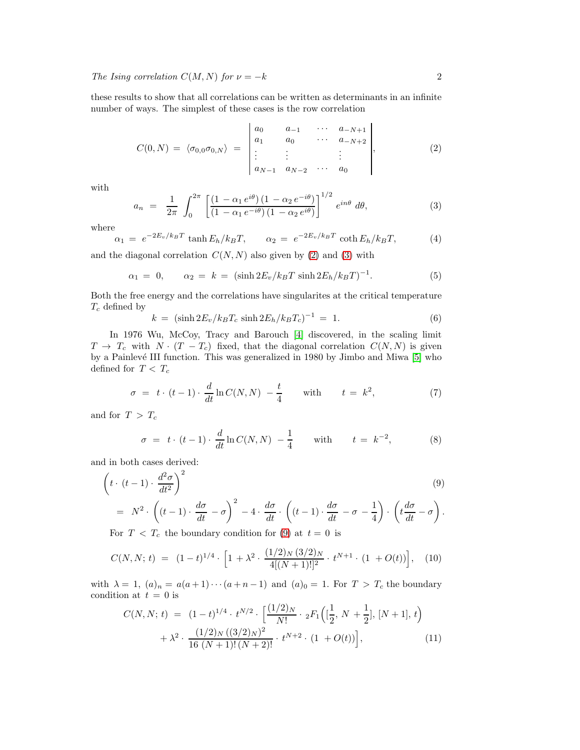these results to show that all correlations can be written as determinants in an infinite number of ways. The simplest of these cases is the row correlation

<span id="page-1-0"></span>
$$
C(0,N) = \langle \sigma_{0,0}\sigma_{0,N} \rangle = \begin{vmatrix} a_0 & a_{-1} & \cdots & a_{-N+1} \\ a_1 & a_0 & \cdots & a_{-N+2} \\ \vdots & \vdots & & \vdots \\ a_{N-1} & a_{N-2} & \cdots & a_0 \end{vmatrix}, \qquad (2)
$$

with

<span id="page-1-1"></span>
$$
a_n = \frac{1}{2\pi} \int_0^{2\pi} \left[ \frac{(1 - \alpha_1 e^{i\theta}) (1 - \alpha_2 e^{-i\theta})}{(1 - \alpha_1 e^{-i\theta}) (1 - \alpha_2 e^{i\theta})} \right]^{1/2} e^{in\theta} d\theta,
$$
 (3)

where

$$
\alpha_1 = e^{-2E_v/k_BT} \tanh E_h/k_BT, \qquad \alpha_2 = e^{-2E_v/k_BT} \coth E_h/k_BT,\tag{4}
$$

and the diagonal correlation  $C(N, N)$  also given by [\(2\)](#page-1-0) and [\(3\)](#page-1-1) with

$$
\alpha_1 = 0, \qquad \alpha_2 = k = (\sinh 2E_v / k_B T \sinh 2E_h / k_B T)^{-1}.
$$
 (5)

Both the free energy and the correlations have singularites at the critical temperature  $T_c$  defined by

$$
k = (\sinh 2E_v / k_B T_c \sinh 2E_h / k_B T_c)^{-1} = 1.
$$
 (6)

In 1976 Wu, McCoy, Tracy and Barouch [\[4\]](#page-29-3) discovered, in the scaling limit  $T \to T_c$  with  $N \cdot (T - T_c)$  fixed, that the diagonal correlation  $C(N, N)$  is given by a Painlevé III function. This was generalized in 1980 by Jimbo and Miwa [\[5\]](#page-29-4) who defined for  $T < T_c$ 

$$
\sigma = t \cdot (t-1) \cdot \frac{d}{dt} \ln C(N, N) - \frac{t}{4} \quad \text{with} \quad t = k^2,
$$
 (7)

and for  $T > T_c$ 

<span id="page-1-2"></span>
$$
\sigma = t \cdot (t - 1) \cdot \frac{d}{dt} \ln C(N, N) - \frac{1}{4} \quad \text{with} \quad t = k^{-2}, \tag{8}
$$

and in both cases derived:

$$
\left(t \cdot (t-1) \cdot \frac{d^2 \sigma}{dt^2}\right)^2
$$
\n
$$
= N^2 \cdot \left((t-1) \cdot \frac{d\sigma}{dt} - \sigma\right)^2 - 4 \cdot \frac{d\sigma}{dt} \cdot \left((t-1) \cdot \frac{d\sigma}{dt} - \sigma - \frac{1}{4}\right) \cdot \left(t\frac{d\sigma}{dt} - \sigma\right).
$$
\n(9)

For  $T < T_c$  the boundary condition for [\(9\)](#page-1-2) at  $t = 0$  is

<span id="page-1-3"></span>
$$
C(N, N; t) = (1-t)^{1/4} \cdot \left[1 + \lambda^2 \cdot \frac{(1/2)_N (3/2)_N}{4[(N+1)!]^2} \cdot t^{N+1} \cdot (1 + O(t))\right], \quad (10)
$$

with  $\lambda = 1$ ,  $(a)_n = a(a+1)\cdots(a+n-1)$  and  $(a)_0 = 1$ . For  $T > T_c$  the boundary condition at  $t = 0$  is

$$
C(N, N; t) = (1-t)^{1/4} \cdot t^{N/2} \cdot \left[ \frac{(1/2)_N}{N!} \cdot {}_2F_1\left( [\frac{1}{2}, N + \frac{1}{2}], [N+1], t \right) + \lambda^2 \cdot \frac{(1/2)_N ((3/2)_N)^2}{16 (N+1)!(N+2)!} \cdot t^{N+2} \cdot (1 + O(t)) \right],
$$
\n(11)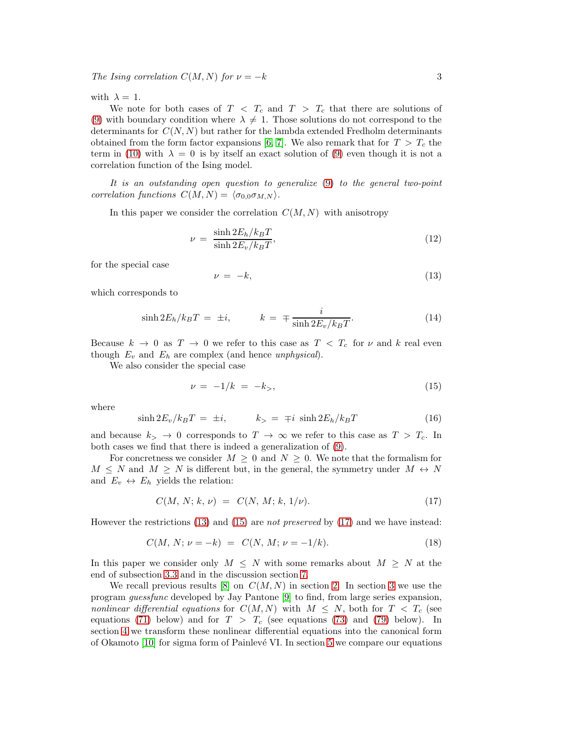with  $\lambda = 1$ .

We note for both cases of  $T < T_c$  and  $T > T_c$  that there are solutions of [\(9\)](#page-1-2) with boundary condition where  $\lambda \neq 1$ . Those solutions do not correspond to the determinants for  $C(N, N)$  but rather for the lambda extended Fredholm determinants obtained from the form factor expansions [\[6,](#page-29-5) [7\]](#page-29-6). We also remark that for  $T > T_c$  the term in [\(10\)](#page-1-3) with  $\lambda = 0$  is by itself an exact solution of [\(9\)](#page-1-2) even though it is not a correlation function of the Ising model.

It is an outstanding open question to generalize [\(9\)](#page-1-2) to the general two-point correlation functions  $C(M, N) = \langle \sigma_{0.0} \sigma_{M,N} \rangle$ .

In this paper we consider the correlation  $C(M, N)$  with anisotropy

$$
\nu = \frac{\sinh 2E_h/k_B T}{\sinh 2E_v/k_B T},\tag{12}
$$

for the special case

<span id="page-2-0"></span>
$$
\nu = -k,\tag{13}
$$

which corresponds to

$$
\sinh 2E_h/k_B T = \pm i, \qquad k = \mp \frac{i}{\sinh 2E_v/k_B T}.
$$
 (14)

Because  $k \to 0$  as  $T \to 0$  we refer to this case as  $T < T_c$  for  $\nu$  and k real even though  $E_v$  and  $E_h$  are complex (and hence unphysical).

We also consider the special case

<span id="page-2-1"></span>
$$
\nu = -1/k = -k_>, \tag{15}
$$

where

$$
\sinh 2E_v/k_B T = \pm i, \qquad k_{>} = \mp i \sinh 2E_h/k_B T \tag{16}
$$

and because  $k > 0$  corresponds to  $T \to \infty$  we refer to this case as  $T > T_c$ . In both cases we find that there is indeed a generalization of [\(9\)](#page-1-2).

For concretness we consider  $M \geq 0$  and  $N \geq 0$ . We note that the formalism for  $M \leq N$  and  $M \geq N$  is different but, in the general, the symmetry under  $M \leftrightarrow N$ and  $E_v \leftrightarrow E_h$  yields the relation:

<span id="page-2-2"></span>
$$
C(M, N; k, \nu) = C(N, M; k, 1/\nu). \tag{17}
$$

However the restrictions [\(13\)](#page-2-0) and [\(15\)](#page-2-1) are not preserved by [\(17\)](#page-2-2) and we have instead:

<span id="page-2-3"></span>
$$
C(M, N; \nu = -k) = C(N, M; \nu = -1/k). \tag{18}
$$

In this paper we consider only  $M \leq N$  with some remarks about  $M \geq N$  at the end of subsection [3.3](#page-9-0) and in the discussion section [7.](#page-18-0)

We recall previous results  $[8]$  on  $C(M, N)$  in section [2.](#page-3-0) In section [3](#page-8-0) we use the program guessfunc developed by Jay Pantone [\[9\]](#page-29-8) to find, from large series expansion, nonlinear differential equations for  $C(M, N)$  with  $M \leq N$ , both for  $T < T_c$  (see equations [\(71\)](#page-8-1) below) and for  $T > T_c$  (see equations [\(73\)](#page-8-2) and [\(79\)](#page-9-1) below). In section [4](#page-10-0) we transform these nonlinear differential equations into the canonical form of Okamoto [\[10\]](#page-29-9) for sigma form of Painlev´e VI. In section [5](#page-13-0) we compare our equations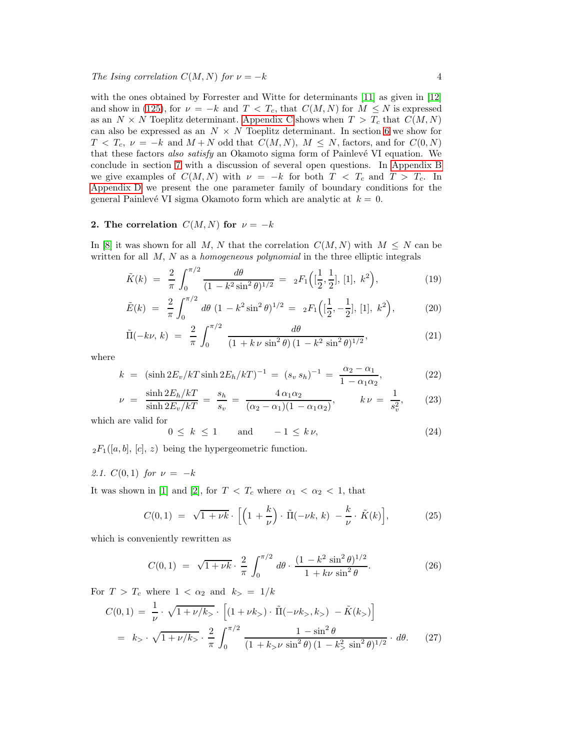with the ones obtained by Forrester and Witte for determinants [\[11\]](#page-29-10) as given in [\[12\]](#page-29-11) and show in [\(125\)](#page-14-0), for  $\nu = -k$  and  $T < T_c$ , that  $C(M, N)$  for  $M \leq N$  is expressed as an  $N \times N$  Toeplitz determinant. [Appendix C](#page-22-0) shows when  $T > T_c$  that  $C(M, N)$ can also be expressed as an  $N \times N$  Toeplitz determinant. In section [6](#page-17-0) we show for  $T < T_c$ ,  $\nu = -k$  and  $M + N$  odd that  $C(M, N)$ ,  $M \leq N$ , factors, and for  $C(0, N)$ that these factors also satisfy an Okamoto sigma form of Painlevé VI equation. We conclude in section [7](#page-18-0) with a discussion of several open questions. In [Appendix B](#page-21-0) we give examples of  $C(M, N)$  with  $\nu = -k$  for both  $T < T_c$  and  $T > T_c$ . In [Appendix D](#page-23-0) we present the one parameter family of boundary conditions for the general Painlevé VI sigma Okamoto form which are analytic at  $k = 0$ .

## <span id="page-3-0"></span>2. The correlation  $C(M, N)$  for  $\nu = -k$

In [\[8\]](#page-29-7) it was shown for all M, N that the correlation  $C(M, N)$  with  $M \leq N$  can be written for all  $M$ ,  $N$  as a *homogeneous polynomial* in the three elliptic integrals

<span id="page-3-4"></span>
$$
\tilde{K}(k) = \frac{2}{\pi} \int_0^{\pi/2} \frac{d\theta}{(1 - k^2 \sin^2 \theta)^{1/2}} = 2F_1\left([\frac{1}{2}, \frac{1}{2}], [1], k^2\right),\tag{19}
$$

$$
\tilde{E}(k) = \frac{2}{\pi} \int_0^{\pi/2} d\theta \ (1 - k^2 \sin^2 \theta)^{1/2} = \ _2F_1\Big( [\frac{1}{2}, -\frac{1}{2}], [1], \ k^2 \Big), \tag{20}
$$

$$
\tilde{\Pi}(-k\nu, k) = \frac{2}{\pi} \int_0^{\pi/2} \frac{d\theta}{(1 + k \nu \sin^2 \theta) (1 - k^2 \sin^2 \theta)^{1/2}},
$$
\n(21)

where

<span id="page-3-1"></span>
$$
k = (\sinh 2E_v/kT \sinh 2E_h/kT)^{-1} = (s_v \, s_h)^{-1} = \frac{\alpha_2 - \alpha_1}{1 - \alpha_1 \alpha_2},\tag{22}
$$

$$
= \frac{\sinh 2E_h/kT}{\sinh 2E_v/kT} = \frac{s_h}{s_v} = \frac{4\,\alpha_1\alpha_2}{(\alpha_2 - \alpha_1)(1 - \alpha_1\alpha_2)}, \qquad k\,\nu = \frac{1}{s_v^2}, \qquad (23)
$$

which are valid for

 $\nu$ 

$$
0 \le k \le 1 \qquad \text{and} \qquad -1 \le k \nu,\tag{24}
$$

 $_2F_1([a, b], [c], z)$  being the hypergeometric function.

## 2.1.  $C(0,1)$  for  $\nu = -k$

It was shown in [\[1\]](#page-29-0) and [\[2\]](#page-29-1), for  $T < T_c$  where  $\alpha_1 < \alpha_2 < 1$ , that

$$
C(0,1) = \sqrt{1+\nu k} \cdot \left[ \left( 1 + \frac{k}{\nu} \right) \cdot \tilde{\Pi}(-\nu k, k) - \frac{k}{\nu} \cdot \tilde{K}(k) \right],\tag{25}
$$

which is conveniently rewritten as

<span id="page-3-2"></span>
$$
C(0,1) = \sqrt{1+\nu k} \cdot \frac{2}{\pi} \int_0^{\pi/2} d\theta \cdot \frac{(1-k^2 \sin^2 \theta)^{1/2}}{1+k\nu \sin^2 \theta}.
$$
 (26)

For  $T > T_c$  where  $1 < \alpha_2$  and  $k_>= 1/k$ 

<span id="page-3-3"></span>
$$
C(0,1) = \frac{1}{\nu} \cdot \sqrt{1 + \nu/k_>} \cdot \left[ (1 + \nu k_>) \cdot \tilde{\Pi}(-\nu k_>, k_>) - \tilde{K}(k_>) \right]
$$
  
=  $k_> \cdot \sqrt{1 + \nu/k_>} \cdot \frac{2}{\pi} \int_0^{\pi/2} \frac{1 - \sin^2 \theta}{(1 + k_> \nu \sin^2 \theta) (1 - k_>}^2 \sin^2 \theta)^{1/2} \cdot d\theta.$  (27)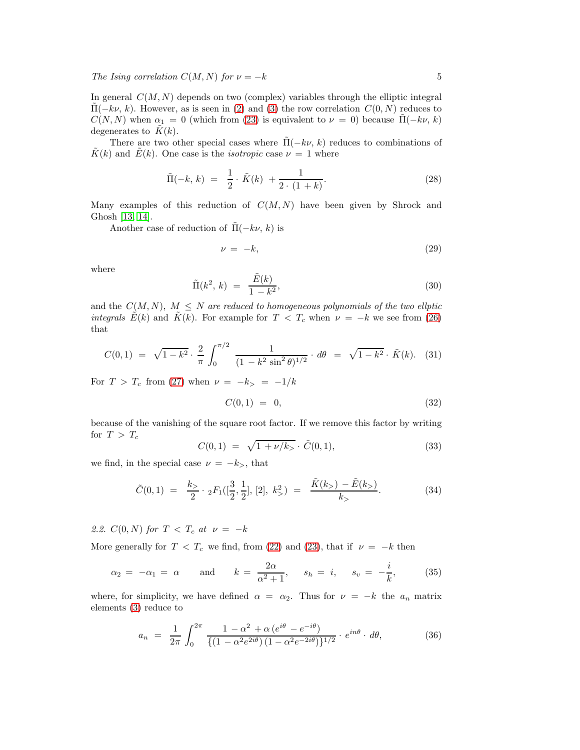In general  $C(M, N)$  depends on two (complex) variables through the elliptic integral  $\tilde{\Pi}(-k\nu, k)$ . However, as is seen in [\(2\)](#page-1-0) and [\(3\)](#page-1-1) the row correlation  $C(0, N)$  reduces to  $C(N, N)$  when  $\alpha_1 = 0$  (which from [\(23\)](#page-3-1) is equivalent to  $\nu = 0$ ) because  $\Pi(-k\nu, k)$ degenerates to  $K(k)$ .

There are two other special cases where  $\Pi(-k\nu, k)$  reduces to combinations of  $K(k)$  and  $E(k)$ . One case is the *isotropic* case  $\nu = 1$  where

$$
\tilde{\Pi}(-k, k) = \frac{1}{2} \cdot \tilde{K}(k) + \frac{1}{2 \cdot (1 + k)}.
$$
\n(28)

Many examples of this reduction of  $C(M, N)$  have been given by Shrock and Ghosh [\[13,](#page-29-12) [14\]](#page-29-13).

Another case of reduction of  $\Pi(-k\nu, k)$  is

$$
\nu = -k,\tag{29}
$$

where

$$
\tilde{\Pi}(k^2, k) = \frac{\tilde{E}(k)}{1 - k^2},\tag{30}
$$

and the  $C(M, N)$ ,  $M \leq N$  are reduced to homogeneous polynomials of the two ellptic *integrals*  $\tilde{E}(k)$  and  $\tilde{K}(k)$ . For example for  $T < T_c$  when  $\nu = -k$  we see from [\(26\)](#page-3-2) that

<span id="page-4-1"></span>
$$
C(0,1) = \sqrt{1-k^2} \cdot \frac{2}{\pi} \int_0^{\pi/2} \frac{1}{(1-k^2\sin^2\theta)^{1/2}} \cdot d\theta = \sqrt{1-k^2} \cdot \tilde{K}(k). \quad (31)
$$

For  $T > T_c$  from [\(27\)](#page-3-3) when  $\nu = -k_>= -1/k$ 

$$
C(0,1) = 0,\t(32)
$$

because of the vanishing of the square root factor. If we remove this factor by writing for  $T > T_c$ 

$$
C(0,1) = \sqrt{1 + \nu/k_{>}} \cdot \tilde{C}(0,1), \tag{33}
$$

we find, in the special case  $\nu = -k_>,$  that

<span id="page-4-0"></span>
$$
\tilde{C}(0,1) = \frac{k_>}{2} \cdot {}_2F_1([\frac{3}{2},\frac{1}{2}], [2], k_>^2) = \frac{\tilde{K}(k_>) - \tilde{E}(k_>)}{k_>}.
$$
\n(34)

2.2.  $C(0, N)$  for  $T < T_c$  at  $\nu = -k$ 

More generally for  $T < T_c$  we find, from [\(22\)](#page-3-1) and [\(23\)](#page-3-1), that if  $\nu = -k$  then

$$
\alpha_2 = -\alpha_1 = \alpha \quad \text{and} \quad k = \frac{2\alpha}{\alpha^2 + 1}, \quad s_h = i, \quad s_v = -\frac{i}{k}, \tag{35}
$$

where, for simplicity, we have defined  $\alpha = \alpha_2$ . Thus for  $\nu = -k$  the  $a_n$  matrix elements [\(3\)](#page-1-1) reduce to

$$
a_n = \frac{1}{2\pi} \int_0^{2\pi} \frac{1 - \alpha^2 + \alpha (e^{i\theta} - e^{-i\theta})}{\{(1 - \alpha^2 e^{2i\theta}) (1 - \alpha^2 e^{-2i\theta})\}^{1/2}} \cdot e^{in\theta} \cdot d\theta,
$$
 (36)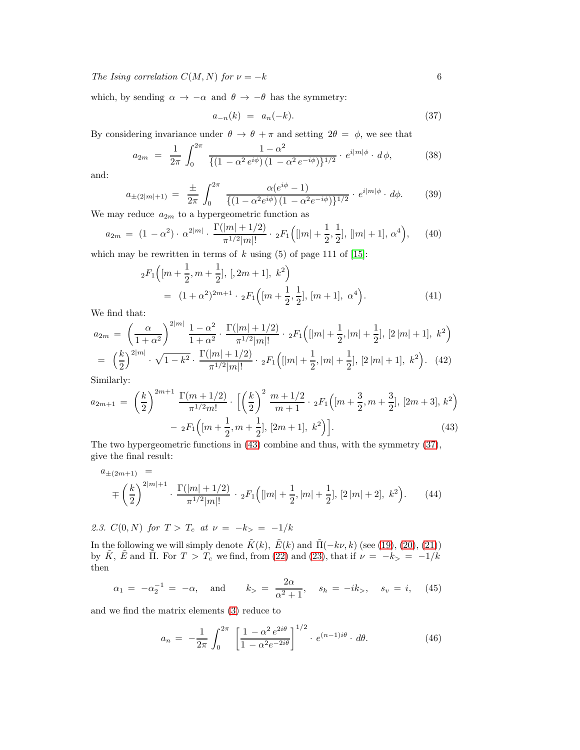which, by sending  $\alpha \to -\alpha$  and  $\theta \to -\theta$  has the symmetry:

<span id="page-5-1"></span>
$$
a_{-n}(k) = a_n(-k). \t\t(37)
$$

By considering invariance under  $\theta \to \theta + \pi$  and setting  $2\theta = \phi$ , we see that

$$
a_{2m} = \frac{1}{2\pi} \int_0^{2\pi} \frac{1 - \alpha^2}{\left\{ \left( 1 - \alpha^2 e^{i\phi} \right) \left( 1 - \alpha^2 e^{-i\phi} \right) \right\}^{1/2}} \cdot e^{i|m|\phi} \cdot d\phi, \tag{38}
$$

and:

$$
a_{\pm(2|m|+1)} = \frac{\pm}{2\pi} \int_0^{2\pi} \frac{\alpha(e^{i\phi} - 1)}{\{(1 - \alpha^2 e^{i\phi})(1 - \alpha^2 e^{-i\phi})\}^{1/2}} \cdot e^{i|m|\phi} \cdot d\phi. \tag{39}
$$

We may reduce  $a_{2m}$  to a hypergeometric function as

$$
a_{2m} = (1 - \alpha^2) \cdot \alpha^{2|m|} \cdot \frac{\Gamma(|m| + 1/2)}{\pi^{1/2}|m|!} \cdot {}_2F_1\left( [|m| + \frac{1}{2}, \frac{1}{2}], [|m| + 1], \alpha^4 \right), \quad (40)
$$

which may be rewritten in terms of  $k$  using (5) of page 111 of [\[15\]](#page-29-14):

$$
{}_{2}F_{1}\left([m+\frac{1}{2},m+\frac{1}{2}],[2m+1],k^{2}\right) = (1+\alpha^{2})^{2m+1} \cdot {}_{2}F_{1}\left([m+\frac{1}{2},\frac{1}{2}],[m+1],\alpha^{4}\right).
$$
 (41)

We find that:

<span id="page-5-3"></span>
$$
a_{2m} = \left(\frac{\alpha}{1+\alpha^2}\right)^{2|m|} \frac{1-\alpha^2}{1+\alpha^2} \cdot \frac{\Gamma(|m|+1/2)}{\pi^{1/2}|m|!} \cdot {}_2F_1\left(||m|+\frac{1}{2},|m|+\frac{1}{2}|, [2|m|+1], k^2\right)
$$
  
=  $\left(\frac{k}{2}\right)^{2|m|} \cdot \sqrt{1-k^2} \cdot \frac{\Gamma(|m|+1/2)}{\pi^{1/2}|m|!} \cdot {}_2F_1\left(||m|+\frac{1}{2},|m|+\frac{1}{2}|, [2|m|+1], k^2\right).$  (42)

Similarly:

<span id="page-5-0"></span>
$$
a_{2m+1} = \left(\frac{k}{2}\right)^{2m+1} \frac{\Gamma(m+1/2)}{\pi^{1/2}m!} \cdot \left[\left(\frac{k}{2}\right)^2 \frac{m+1/2}{m+1} \cdot {}_2F_1\left((m+\frac{3}{2},m+\frac{3}{2}],[2m+3],k^2\right) - {}_2F_1\left((m+\frac{1}{2},m+\frac{1}{2}],[2m+1],k^2\right)\right].
$$
\n(43)

The two hypergeometric functions in [\(43\)](#page-5-0) combine and thus, with the symmetry [\(37\)](#page-5-1), give the final result:

<span id="page-5-4"></span>
$$
a_{\pm(2m+1)} =
$$
  
 
$$
\mp \left(\frac{k}{2}\right)^{2|m|+1} \cdot \frac{\Gamma(|m|+1/2)}{\pi^{1/2}|m|!} \cdot {}_2F_1\left(||m|+\frac{1}{2},|m|+\frac{1}{2}],[2|m|+2], k^2\right).
$$
 (44)

2.3.  $C(0, N)$  for  $T > T_c$  at  $\nu = -k_0 = -1/k$ 

In the following we will simply denote  $\tilde{K}(k)$ ,  $\tilde{E}(k)$  and  $\tilde{\Pi}(-k\nu, k)$  (see [\(19\)](#page-3-4), [\(20\)](#page-3-4), [\(21\)](#page-3-4)) by  $\tilde{K}$ ,  $\tilde{E}$  and  $\tilde{\Pi}$ . For  $T > T_c$  we find, from [\(22\)](#page-3-1) and [\(23\)](#page-3-1), that if  $\nu = -k_> = -1/k$ then

<span id="page-5-2"></span>
$$
\alpha_1 = -\alpha_2^{-1} = -\alpha
$$
, and  $k_>= \frac{2\alpha}{\alpha^2 + 1}$ ,  $s_h = -ik_>, s_v = i$ , (45)

and we find the matrix elements [\(3\)](#page-1-1) reduce to

$$
a_n = -\frac{1}{2\pi} \int_0^{2\pi} \left[ \frac{1 - \alpha^2 e^{2i\theta}}{1 - \alpha^2 e^{-2i\theta}} \right]^{1/2} \cdot e^{(n-1)i\theta} \cdot d\theta. \tag{46}
$$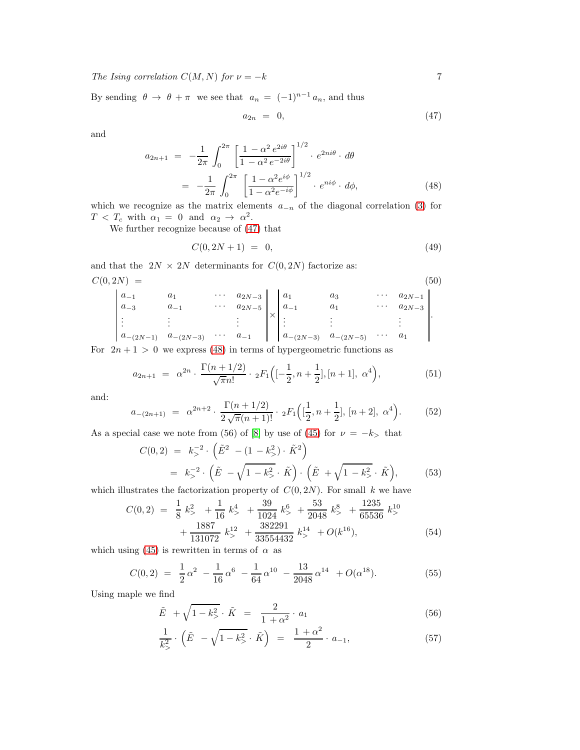By sending  $\theta \to \theta + \pi$  we see that  $a_n = (-1)^{n-1} a_n$ , and thus

<span id="page-6-0"></span>
$$
a_{2n} = 0, \tag{47}
$$

and

<span id="page-6-1"></span>
$$
a_{2n+1} = -\frac{1}{2\pi} \int_0^{2\pi} \left[ \frac{1 - \alpha^2 e^{2i\theta}}{1 - \alpha^2 e^{-2i\theta}} \right]^{1/2} \cdot e^{2ni\theta} \cdot d\theta
$$
  
= 
$$
-\frac{1}{2\pi} \int_0^{2\pi} \left[ \frac{1 - \alpha^2 e^{i\phi}}{1 - \alpha^2 e^{-i\phi}} \right]^{1/2} \cdot e^{ni\phi} \cdot d\phi,
$$
 (48)

which we recognize as the matrix elements  $a_{-n}$  of the diagonal correlation [\(3\)](#page-1-1) for  $T < T_c$  with  $\alpha_1 = 0$  and  $\alpha_2 \rightarrow \alpha^2$ .

We further recognize because of [\(47\)](#page-6-0) that

<span id="page-6-2"></span>
$$
C(0, 2N + 1) = 0,\t(49)
$$

and that the  $2N \times 2N$  determinants for  $C(0, 2N)$  factorize as:  $C(0, 2N) = (50)$ 

$$
\begin{vmatrix} a_{-1} & a_1 & \cdots & a_{2N-3} \\ a_{-3} & a_{-1} & \cdots & a_{2N-5} \\ \vdots & \vdots & \ddots & \vdots \\ a_{-(2N-1)} & a_{-(2N-3)} & \cdots & a_{-1} \end{vmatrix} \times \begin{vmatrix} a_1 & a_3 & \cdots & a_{2N-1} \\ a_{-1} & a_1 & \cdots & a_{2N-3} \\ \vdots & \vdots & \ddots & \vdots \\ a_{-(2N-3)} & a_{-(2N-5)} & \cdots & a_1 \end{vmatrix}.
$$

For  $2n + 1 > 0$  we express [\(48\)](#page-6-1) in terms of hypergeometric functions as

<span id="page-6-3"></span>
$$
a_{2n+1} = \alpha^{2n} \cdot \frac{\Gamma(n+1/2)}{\sqrt{\pi}n!} \cdot {}_2F_1\left( [-\frac{1}{2}, n+\frac{1}{2}], [n+1], \alpha^4 \right), \tag{51}
$$

and:

<span id="page-6-4"></span>
$$
a_{-(2n+1)} = \alpha^{2n+2} \cdot \frac{\Gamma(n+1/2)}{2\sqrt{\pi}(n+1)!} \cdot {}_2F_1\left([\frac{1}{2}, n+\frac{1}{2}], [n+2], \alpha^4\right). \tag{52}
$$

As a special case we note from (56) of [\[8\]](#page-29-7) by use of [\(45\)](#page-5-2) for  $\nu = -k_>$  that

$$
C(0,2) = k_{>}^{-2} \cdot (\tilde{E}^2 - (1 - k_{>}^2) \cdot \tilde{K}^2)
$$
  
=  $k_{>}^{-2} \cdot (\tilde{E} - \sqrt{1 - k_{>}^2} \cdot \tilde{K}) \cdot (\tilde{E} + \sqrt{1 - k_{>}^2} \cdot \tilde{K})$ , (53)

which illustrates the factorization property of  $C(0, 2N)$ . For small k we have

$$
C(0,2) = \frac{1}{8} k_{>}^{2} + \frac{1}{16} k_{>}^{4} + \frac{39}{1024} k_{>}^{6} + \frac{53}{2048} k_{>}^{8} + \frac{1235}{65536} k_{>}^{10} + \frac{1887}{131072} k_{>}^{12} + \frac{382291}{33554432} k_{>}^{14} + O(k^{16}),
$$
\n
$$
(54)
$$

which using [\(45\)](#page-5-2) is rewritten in terms of  $\alpha$  as

$$
C(0,2) = \frac{1}{2}\alpha^2 - \frac{1}{16}\alpha^6 - \frac{1}{64}\alpha^{10} - \frac{13}{2048}\alpha^{14} + O(\alpha^{18}).
$$
 (55)

Using maple we find

$$
\tilde{E} + \sqrt{1 - k_{>}^2} \cdot \tilde{K} = \frac{2}{1 + \alpha^2} \cdot a_1 \tag{56}
$$

$$
\frac{1}{k_{>}^2} \cdot \left(\tilde{E} - \sqrt{1 - k_{>}^2} \cdot \tilde{K}\right) = \frac{1 + \alpha^2}{2} \cdot a_{-1},\tag{57}
$$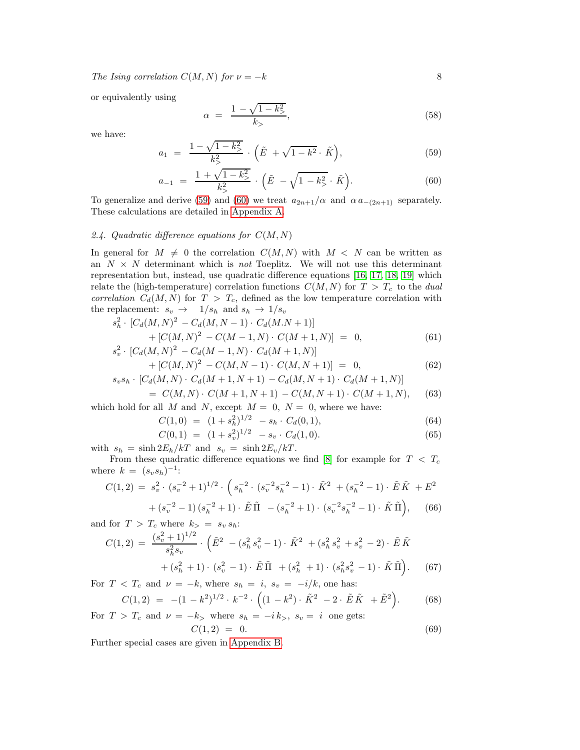or equivalently using

$$
\alpha = \frac{1 - \sqrt{1 - k_{>}^2}}{k_{>}},\tag{58}
$$

we have:

<span id="page-7-0"></span>
$$
a_1 = \frac{1 - \sqrt{1 - k_{\geq}}}{k_{\geq}} \cdot (\tilde{E} + \sqrt{1 - k^2} \cdot \tilde{K}), \tag{59}
$$

$$
a_{-1} = \frac{1 + \sqrt{1 - k_{>}^{2}}}{k_{>}^{2}} \cdot (\tilde{E} - \sqrt{1 - k_{>}^{2}} \cdot \tilde{K}). \tag{60}
$$

To generalize and derive [\(59\)](#page-7-0) and [\(60\)](#page-7-0) we treat  $a_{2n+1}/\alpha$  and  $\alpha a_{-(2n+1)}$  separately. These calculations are detailed in [Appendix A.](#page-19-0)

## <span id="page-7-1"></span>2.4. Quadratic difference equations for  $C(M, N)$

In general for  $M \neq 0$  the correlation  $C(M, N)$  with  $M < N$  can be written as an  $N \times N$  determinant which is *not* Toeplitz. We will not use this determinant representation but, instead, use quadratic difference equations [\[16,](#page-29-15) [17,](#page-29-16) [18,](#page-29-17) [19\]](#page-29-18) which relate the (high-temperature) correlation functions  $C(M, N)$  for  $T > T_c$  to the dual correlation  $C_d(M, N)$  for  $T > T_c$ , defined as the low temperature correlation with the replacement:  $s_v \rightarrow 1/s_h$  and  $s_h \rightarrow 1/s_v$ 

$$
s_h^2 \cdot [C_d(M, N)^2 - C_d(M, N - 1) \cdot C_d(M, N + 1)]
$$
  
+ 
$$
[C(M, N)^2 - C(M - 1, N) \cdot C(M + 1, N)] = 0,
$$
 (61)

$$
s_v^2 \cdot [C_d(M, N)^2 - C_d(M - 1, N) \cdot C_d(M + 1, N)] + [C(M, N)^2 - C(M, N - 1) \cdot C(M, N + 1)] = 0,
$$
\n(62)

$$
s_v s_h \cdot [C_d(M, N) \cdot C_d(M+1, N+1) - C_d(M, N+1) \cdot C_d(M+1, N)]
$$
  
C(M, N) - C(M+1, N+1) - C(M, N+1) - C(M+1, N) - (63

$$
= C(M, N) \cdot C(M + 1, N + 1) - C(M, N + 1) \cdot C(M + 1, N), \quad (63)
$$

which hold for all M and N, except  $M = 0$ ,  $N = 0$ , where we have:

$$
C(1,0) = (1+s_h^2)^{1/2} - s_h \cdot C_d(0,1), \tag{64}
$$

$$
C(0,1) = (1+s_v^2)^{1/2} - s_v \cdot C_d(1,0). \tag{65}
$$

with  $s_h = \sinh 2E_h/kT$  and  $s_v = \sinh 2E_v/kT$ .

From these quadratic difference equations we find [\[8\]](#page-29-7) for example for  $T < T_c$ where  $k = (s_v s_h)^{-1}$ :

$$
C(1,2) = s_v^2 \cdot (s_v^{-2} + 1)^{1/2} \cdot \left(s_h^{-2} \cdot (s_v^{-2} s_h^{-2} - 1) \cdot \tilde{K}^2 + (s_h^{-2} - 1) \cdot \tilde{E} \tilde{K} + E^2 + (s_v^{-2} - 1) (s_h^{-2} + 1) \cdot \tilde{E} \tilde{\Pi} - (s_h^{-2} + 1) \cdot (s_v^{-2} s_h^{-2} - 1) \cdot \tilde{K} \tilde{\Pi}\right), \quad (66)
$$

and for  $T > T_c$  where  $k_ > = s_v s_h$ :

$$
C(1,2) = \frac{(s_v^2 + 1)^{1/2}}{s_h^2 s_v} \cdot (\tilde{E}^2 - (s_h^2 s_v^2 - 1) \cdot \tilde{K}^2 + (s_h^2 s_v^2 + s_v^2 - 2) \cdot \tilde{E} \tilde{K} + (s_h^2 + 1) \cdot (s_v^2 - 1) \cdot \tilde{E} \tilde{\Pi} + (s_h^2 + 1) \cdot (s_h^2 s_v^2 - 1) \cdot \tilde{K} \tilde{\Pi}.
$$
 (67)

For  $T < T_c$  and  $\nu = -k$ , where  $s_h = i$ ,  $s_v = -i/k$ , one has:

$$
C(1,2) = -(1-k^2)^{1/2} \cdot k^{-2} \cdot \left( (1-k^2) \cdot \tilde{K}^2 - 2 \cdot \tilde{E} \tilde{K} + \tilde{E}^2 \right). \tag{68}
$$

For  $T > T_c$  and  $\nu = -k_0$  where  $s_h = -ik_0$ ,  $s_v = i$  one gets:

$$
C(1,2) = 0.\t(69)
$$

Further special cases are given in [Appendix B.](#page-21-0)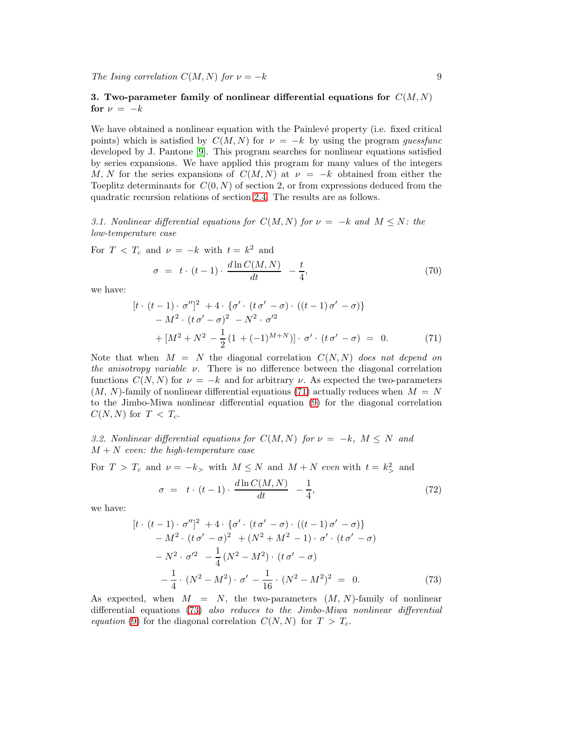## <span id="page-8-0"></span>3. Two-parameter family of nonlinear differential equations for  $C(M, N)$ for  $\nu = -k$

We have obtained a nonlinear equation with the Painlevé property (i.e. fixed critical points) which is satisfied by  $C(M, N)$  for  $\nu = -k$  by using the program guessfunc developed by J. Pantone [\[9\]](#page-29-8). This program searches for nonlinear equations satisfied by series expansions. We have applied this program for many values of the integers M, N for the series expansions of  $C(M, N)$  at  $\nu = -k$  obtained from either the Toeplitz determinants for  $C(0, N)$  of section 2, or from expressions deduced from the quadratic recursion relations of section [2.4.](#page-7-1) The results are as follows.

3.1. Nonlinear differential equations for  $C(M, N)$  for  $\nu = -k$  and  $M \leq N$ : the low-temperature case

For 
$$
T < T_c
$$
 and  $\nu = -k$  with  $t = k^2$  and  
\n
$$
\sigma = t \cdot (t - 1) \cdot \frac{d \ln C(M, N)}{dt} - \frac{t}{4},\tag{70}
$$

we have:

<span id="page-8-1"></span>
$$
[t \cdot (t-1) \cdot \sigma'']^{2} + 4 \cdot \{\sigma' \cdot (t \sigma' - \sigma) \cdot ((t-1) \sigma' - \sigma)\}- M^{2} \cdot (t \sigma' - \sigma)^{2} - N^{2} \cdot \sigma'^{2}+ [M^{2} + N^{2} - \frac{1}{2} (1 + (-1)^{M+N})] \cdot \sigma' \cdot (t \sigma' - \sigma) = 0.
$$
 (71)

Note that when  $M = N$  the diagonal correlation  $C(N, N)$  does not depend on the anisotropy variable  $\nu$ . There is no difference between the diagonal correlation functions  $C(N, N)$  for  $\nu = -k$  and for arbitrary  $\nu$ . As expected the two-parameters  $(M, N)$ -family of nonlinear differential equations [\(71\)](#page-8-1) actually reduces when  $M = N$ to the Jimbo-Miwa nonlinear differential equation [\(9\)](#page-1-2) for the diagonal correlation  $C(N, N)$  for  $T < T_c$ .

3.2. Nonlinear differential equations for  $C(M, N)$  for  $\nu = -k$ ,  $M \leq N$  and  $M + N$  even: the high-temperature case

For  $T > T_c$  and  $\nu = -k$ , with  $M \leq N$  and  $M + N$  even with  $t = k^2$  and

$$
\sigma = t \cdot (t-1) \cdot \frac{d \ln C(M,N)}{dt} - \frac{1}{4},\tag{72}
$$

we have:

<span id="page-8-2"></span>
$$
[t \cdot (t-1) \cdot \sigma'']^{2} + 4 \cdot \{\sigma' \cdot (t\sigma' - \sigma) \cdot ((t-1)\sigma' - \sigma)\}- M^{2} \cdot (t\sigma' - \sigma)^{2} + (N^{2} + M^{2} - 1) \cdot \sigma' \cdot (t\sigma' - \sigma)- N^{2} \cdot \sigma'^{2} - \frac{1}{4} (N^{2} - M^{2}) \cdot (t\sigma' - \sigma)- \frac{1}{4} \cdot (N^{2} - M^{2}) \cdot \sigma' - \frac{1}{16} \cdot (N^{2} - M^{2})^{2} = 0.
$$
 (73)

As expected, when  $M = N$ , the two-parameters  $(M, N)$ -family of nonlinear differential equations [\(73\)](#page-8-2) also reduces to the Jimbo-Miwa nonlinear differential equation [\(9\)](#page-1-2) for the diagonal correlation  $C(N, N)$  for  $T > T_c$ .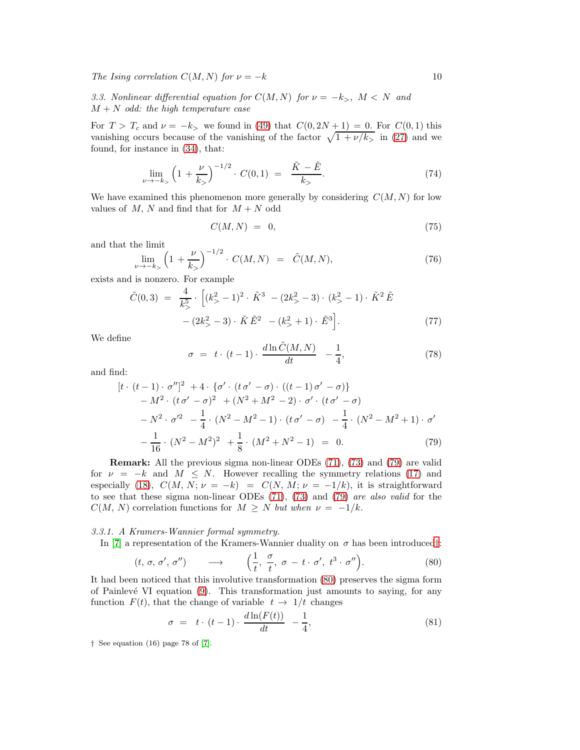<span id="page-9-0"></span>3.3. Nonlinear differential equation for  $C(M, N)$  for  $\nu = -k_>, M < N$  and  $M + N$  odd: the high temperature case

For  $T > T_c$  and  $\nu = -k$ , we found in [\(49\)](#page-6-2) that  $C(0, 2N + 1) = 0$ . For  $C(0, 1)$  this vanishing occurs because of the vanishing of the factor  $\sqrt{1 + \nu/k_{>}}$  in [\(27\)](#page-3-3) and we found, for instance in [\(34\)](#page-4-0), that:

$$
\lim_{\nu \to -k_{>}} \left( 1 + \frac{\nu}{k_{>} } \right)^{-1/2} \cdot C(0, 1) = \frac{\tilde{K} - \tilde{E}}{k_{>} }.
$$
\n(74)

We have examined this phenomenon more generally by considering  $C(M, N)$  for low values of  $M$ ,  $N$  and find that for  $M + N$  odd

<span id="page-9-4"></span>
$$
C(M, N) = 0,\t(75)
$$

and that the limit

$$
\lim_{\nu \to -k_>} \left( 1 + \frac{\nu}{k_>} \right)^{-1/2} \cdot C(M, N) = \tilde{C}(M, N), \tag{76}
$$

exists and is nonzero. For example

$$
\tilde{C}(0,3) = \frac{4}{k_{>}^{5}} \cdot \left[ (k_{>}^{2} - 1)^{2} \cdot \tilde{K}^{3} - (2k_{>}^{2} - 3) \cdot (k_{>}^{2} - 1) \cdot \tilde{K}^{2} \tilde{E} - (2k_{>}^{2} - 3) \cdot \tilde{K} \tilde{E}^{2} - (k_{>}^{2} + 1) \cdot \tilde{E}^{3} \right].
$$
\n(77)

We define

$$
\sigma = t \cdot (t - 1) \cdot \frac{d \ln \tilde{C}(M, N)}{dt} - \frac{1}{4},\tag{78}
$$

and find:

<span id="page-9-1"></span>
$$
[t \cdot (t-1) \cdot \sigma'']^{2} + 4 \cdot \{\sigma' \cdot (t\sigma' - \sigma) \cdot ((t-1)\sigma' - \sigma)\}- M^{2} \cdot (t\sigma' - \sigma)^{2} + (N^{2} + M^{2} - 2) \cdot \sigma' \cdot (t\sigma' - \sigma)- N^{2} \cdot \sigma'^{2} - \frac{1}{4} \cdot (N^{2} - M^{2} - 1) \cdot (t\sigma' - \sigma) - \frac{1}{4} \cdot (N^{2} - M^{2} + 1) \cdot \sigma'- \frac{1}{16} \cdot (N^{2} - M^{2})^{2} + \frac{1}{8} \cdot (M^{2} + N^{2} - 1) = 0.
$$
 (79)

Remark: All the previous sigma non-linear ODEs [\(71\)](#page-8-1), [\(73\)](#page-8-2) and [\(79\)](#page-9-1) are valid for  $\nu = -k$  and  $M \leq N$ . However recalling the symmetry relations [\(17\)](#page-2-2) and especially [\(18\)](#page-2-3),  $C(M, N; \nu = -k) = C(N, M; \nu = -1/k)$ , it is straightforward to see that these sigma non-linear ODEs [\(71\)](#page-8-1), [\(73\)](#page-8-2) and [\(79\)](#page-9-1) are also valid for the  $C(M, N)$  correlation functions for  $M \geq N$  but when  $\nu = -1/k$ .

## 3.3.1. A Kramers-Wannier formal symmetry.

In [\[7\]](#page-29-6) a representation of the Kramers-Wannier duality on  $\sigma$  has been introduced[†](#page-9-2):

<span id="page-9-3"></span>
$$
(t, \sigma, \sigma', \sigma'') \longrightarrow \left(\frac{1}{t}, \frac{\sigma}{t}, \sigma - t \cdot \sigma', t^3 \cdot \sigma''\right).
$$
 (80)

It had been noticed that this involutive transformation [\(80\)](#page-9-3) preserves the sigma form of Painlevé VI equation  $(9)$ . This transformation just amounts to saying, for any function  $F(t)$ , that the change of variable  $t \to 1/t$  changes

$$
\sigma = t \cdot (t-1) \cdot \frac{d \ln(F(t))}{dt} - \frac{1}{4},\tag{81}
$$

<span id="page-9-2"></span>† See equation (16) page 78 of [\[7\]](#page-29-6).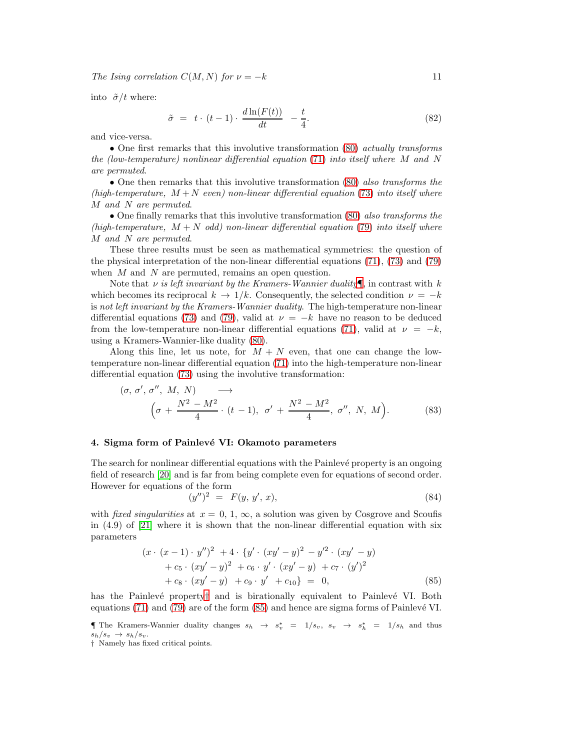into  $\tilde{\sigma}/t$  where:

$$
\tilde{\sigma} = t \cdot (t - 1) \cdot \frac{d \ln(F(t))}{dt} - \frac{t}{4}.
$$
\n(82)

and vice-versa.

• One first remarks that this involutive transformation [\(80\)](#page-9-3) actually transforms the (low-temperature) nonlinear differential equation [\(71\)](#page-8-1) into itself where M and N are permuted.

• One then remarks that this involutive transformation [\(80\)](#page-9-3) also transforms the (high-temperature,  $M + N$  even) non-linear differential equation [\(73\)](#page-8-2) into itself where M and N are permuted.

• One finally remarks that this involutive transformation [\(80\)](#page-9-3) also transforms the (high-temperature,  $M + N$  odd) non-linear differential equation [\(79\)](#page-9-1) into itself where M and N are permuted.

These three results must be seen as mathematical symmetries: the question of the physical interpretation of the non-linear differential equations [\(71\)](#page-8-1), [\(73\)](#page-8-2) and [\(79\)](#page-9-1) when  $M$  and  $N$  are permuted, remains an open question.

Note that  $\nu$  is left invariant by the Kramers-Wannier duality. in contrast with k which becomes its reciprocal  $k \to 1/k$ . Consequently, the selected condition  $\nu = -k$ is not left invariant by the Kramers-Wannier duality. The high-temperature non-linear differential equations [\(73\)](#page-8-2) and [\(79\)](#page-9-1), valid at  $\nu = -k$  have no reason to be deduced from the low-temperature non-linear differential equations [\(71\)](#page-8-1), valid at  $\nu = -k$ , using a Kramers-Wannier-like duality [\(80\)](#page-9-3).

Along this line, let us note, for  $M + N$  even, that one can change the lowtemperature non-linear differential equation [\(71\)](#page-8-1) into the high-temperature non-linear differential equation [\(73\)](#page-8-2) using the involutive transformation:

$$
(\sigma, \sigma', \sigma'', M, N) \longrightarrow
$$
  
\n
$$
(\sigma + \frac{N^2 - M^2}{4} \cdot (t - 1), \sigma' + \frac{N^2 - M^2}{4}, \sigma'', N, M).
$$
 (83)

#### <span id="page-10-0"></span>4. Sigma form of Painlevé VI: Okamoto parameters

The search for nonlinear differential equations with the Painlevé property is an ongoing field of research [\[20\]](#page-29-19) and is far from being complete even for equations of second order. However for equations of the form

$$
(y'')^2 = F(y, y', x), \tag{84}
$$

with *fixed singularities* at  $x = 0, 1, \infty$ , a solution was given by Cosgrove and Scoufis in (4.9) of [\[21\]](#page-29-20) where it is shown that the non-linear differential equation with six parameters

<span id="page-10-3"></span>
$$
(x \cdot (x-1) \cdot y'')^{2} + 4 \cdot \{y' \cdot (xy'-y)^{2} - y'^{2} \cdot (xy'-y) + c_{5} \cdot (xy'-y)^{2} + c_{6} \cdot y' \cdot (xy'-y) + c_{7} \cdot (y')^{2} + c_{8} \cdot (xy'-y) + c_{9} \cdot y' + c_{10}\} = 0,
$$
(85)

has the Painlevé property[†](#page-10-2) and is birationally equivalent to Painlevé VI. Both equations  $(71)$  and  $(79)$  are of the form  $(85)$  and hence are sigma forms of Painlevé VI.

The Kramers-Wannier duality changes  $s_h \rightarrow s_v^* = 1/s_v$ ,  $s_v \rightarrow s_h^* = 1/s_h$  and thus  $s_h/s_v \rightarrow s_h/s_v$ .

<span id="page-10-2"></span><span id="page-10-1"></span><sup>†</sup> Namely has fixed critical points.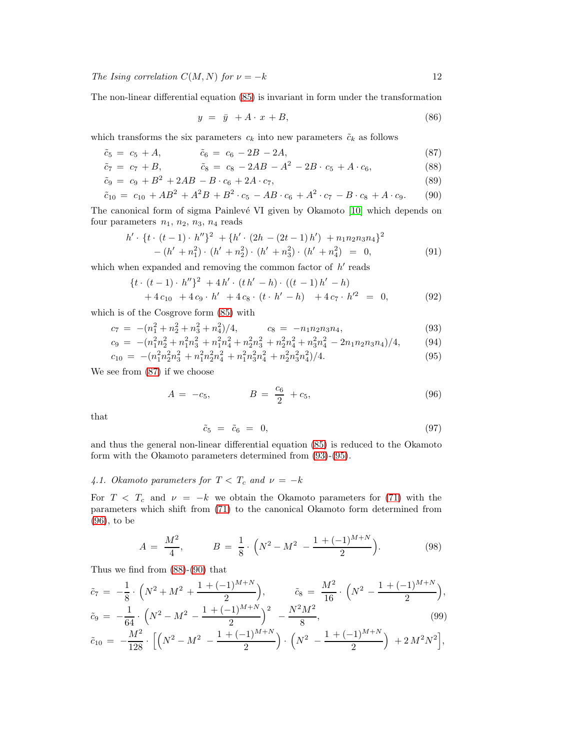The non-linear differential equation [\(85\)](#page-10-3) is invariant in form under the transformation

<span id="page-11-0"></span>
$$
y = \bar{y} + A \cdot x + B,\tag{86}
$$

which transforms the six parameters  $c_k$  into new parameters  $\tilde{c}_k$  as follows

$$
\tilde{c}_5 = c_5 + A, \qquad \tilde{c}_6 = c_6 - 2B - 2A, \tag{87}
$$

$$
\tilde{c}_7 = c_7 + B, \qquad \tilde{c}_8 = c_8 - 2AB - A^2 - 2B \cdot c_5 + A \cdot c_6, \tag{88}
$$

$$
\tilde{c}_9 = c_9 + B^2 + 2AB - B \cdot c_6 + 2A \cdot c_7,\tag{89}
$$

$$
\tilde{c}_{10} = c_{10} + AB^2 + A^2B + B^2 \cdot c_5 - AB \cdot c_6 + A^2 \cdot c_7 - B \cdot c_8 + A \cdot c_9. \tag{90}
$$

The canonical form of sigma Painlevé VI given by Okamoto [\[10\]](#page-29-9) which depends on four parameters  $n_1$ ,  $n_2$ ,  $n_3$ ,  $n_4$  reads

<span id="page-11-3"></span>
$$
h' \cdot \{t \cdot (t-1) \cdot h''\}^2 + \{h' \cdot (2h - (2t-1)h') + n_1n_2n_3n_4\}^2
$$
  
- 
$$
(h' + n_1^2) \cdot (h' + n_2^2) \cdot (h' + n_3^2) \cdot (h' + n_4^2) = 0,
$$
 (91)

which when expanded and removing the common factor of  $h'$  reads

$$
\{t \cdot (t-1) \cdot h''\}^2 + 4h' \cdot (t h' - h) \cdot ((t-1) h' - h) + 4c_{10} + 4c_9 \cdot h' + 4c_8 \cdot (t \cdot h' - h) + 4c_7 \cdot h'^2 = 0,
$$
(92)

which is of the Cosgrove form [\(85\)](#page-10-3) with

$$
c_7 = -(n_1^2 + n_2^2 + n_3^2 + n_4^2)/4, \qquad c_8 = -n_1 n_2 n_3 n_4,\tag{93}
$$

<span id="page-11-1"></span>
$$
c_9 = -(n_1^2 n_2^2 + n_1^2 n_3^2 + n_1^2 n_4^2 + n_2^2 n_3^2 + n_2^2 n_4^2 + n_3^2 n_4^2 - 2n_1 n_2 n_3 n_4)/4, \tag{94}
$$

$$
c_{10} = -(n_1^2 n_2^2 n_3^2 + n_1^2 n_2^2 n_4^2 + n_1^2 n_3^2 n_4^2 + n_2^2 n_3^2 n_4^2)/4.
$$
\n
$$
(95)
$$

We see from [\(87\)](#page-11-0) if we choose

$$
A = -c_5, \qquad B = \frac{c_6}{2} + c_5, \tag{96}
$$

that

<span id="page-11-2"></span>
$$
\tilde{c}_5 = \tilde{c}_6 = 0, \tag{97}
$$

and thus the general non-linear differential equation [\(85\)](#page-10-3) is reduced to the Okamoto form with the Okamoto parameters determined from [\(93\)](#page-11-1)-[\(95\)](#page-11-1).

## 4.1. Okamoto parameters for  $T < T_c$  and  $\nu = -k$

For  $T < T_c$  and  $\nu = -k$  we obtain the Okamoto parameters for [\(71\)](#page-8-1) with the parameters which shift from [\(71\)](#page-8-1) to the canonical Okamoto form determined from [\(96\)](#page-11-2), to be

$$
A = \frac{M^2}{4}, \qquad B = \frac{1}{8} \cdot \left( N^2 - M^2 - \frac{1 + (-1)^{M+N}}{2} \right). \tag{98}
$$

Thus we find from [\(88\)](#page-11-0)-[\(90\)](#page-11-0) that

$$
\tilde{c}_7 = -\frac{1}{8} \cdot \left( N^2 + M^2 + \frac{1 + (-1)^{M+N}}{2} \right), \qquad \tilde{c}_8 = \frac{M^2}{16} \cdot \left( N^2 - \frac{1 + (-1)^{M+N}}{2} \right),
$$
  
\n
$$
\tilde{c}_9 = -\frac{1}{64} \cdot \left( N^2 - M^2 - \frac{1 + (-1)^{M+N}}{2} \right)^2 - \frac{N^2 M^2}{8}, \qquad (99)
$$

$$
\tilde{c}_{10} = -\frac{M^2}{128} \cdot \left[ \left( N^2 - M^2 - \frac{1 + (-1)^{M+N}}{2} \right) \cdot \left( N^2 - \frac{1 + (-1)^{M+N}}{2} \right) + 2 M^2 N^2 \right],
$$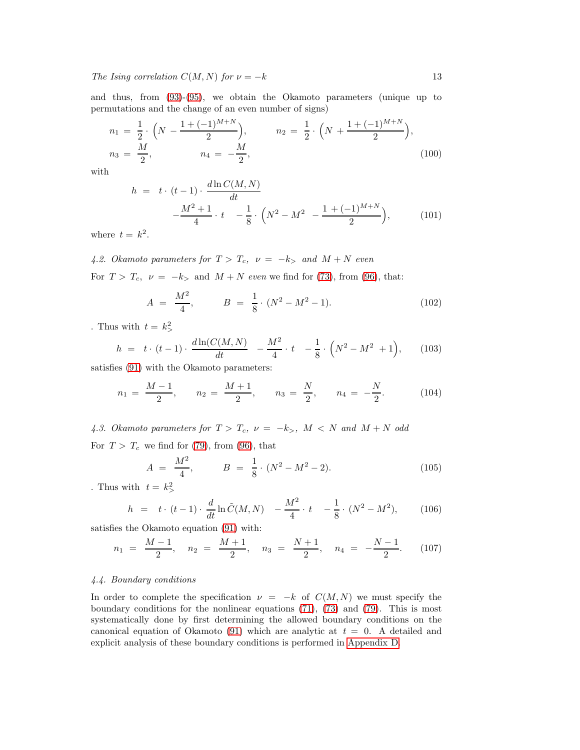and thus, from [\(93\)](#page-11-1)-[\(95\)](#page-11-1), we obtain the Okamoto parameters (unique up to permutations and the change of an even number of signs)

<span id="page-12-0"></span>
$$
n_1 = \frac{1}{2} \cdot \left( N - \frac{1 + (-1)^{M+N}}{2} \right), \qquad n_2 = \frac{1}{2} \cdot \left( N + \frac{1 + (-1)^{M+N}}{2} \right),
$$
  
\n
$$
n_3 = \frac{M}{2}, \qquad n_4 = -\frac{M}{2}, \qquad (100)
$$

with

<span id="page-12-1"></span>
$$
h = t \cdot (t-1) \cdot \frac{d \ln C(M, N)}{dt}
$$
  
 
$$
-\frac{M^2 + 1}{4} \cdot t - \frac{1}{8} \cdot \left(N^2 - M^2 - \frac{1 + (-1)^{M+N}}{2}\right), \tag{101}
$$

where  $t = k^2$ .

4.2. Okamoto parameters for  $T > T_c$ ,  $\nu = -k_>$  and  $M + N$  even

For  $T > T_c$ ,  $\nu = -k_>$  and  $M + N$  even we find for [\(73\)](#page-8-2), from [\(96\)](#page-11-2), that:

$$
A = \frac{M^2}{4}, \qquad B = \frac{1}{8} \cdot (N^2 - M^2 - 1). \tag{102}
$$

. Thus with  $t = k_{>}^2$ 

<span id="page-12-4"></span>
$$
h = t \cdot (t-1) \cdot \frac{d\ln(C(M,N))}{dt} - \frac{M^2}{4} \cdot t - \frac{1}{8} \cdot \left(N^2 - M^2 + 1\right), \quad (103)
$$

satisfies [\(91\)](#page-11-3) with the Okamoto parameters:

<span id="page-12-2"></span>
$$
n_1 = \frac{M-1}{2}, \qquad n_2 = \frac{M+1}{2}, \qquad n_3 = \frac{N}{2}, \qquad n_4 = -\frac{N}{2}.
$$
 (104)

4.3. Okamoto parameters for  $T > T_c$ ,  $\nu = -k_>, M < N$  and  $M + N$  odd For  $T > T_c$  we find for [\(79\)](#page-9-1), from [\(96\)](#page-11-2), that

$$
A = \frac{M^2}{4}, \qquad B = \frac{1}{8} \cdot (N^2 - M^2 - 2). \tag{105}
$$

. Thus with  $t = k_{>}^2$ 

<span id="page-12-5"></span>
$$
h = t \cdot (t-1) \cdot \frac{d}{dt} \ln \tilde{C}(M, N) - \frac{M^2}{4} \cdot t - \frac{1}{8} \cdot (N^2 - M^2), \quad (106)
$$

satisfies the Okamoto equation [\(91\)](#page-11-3) with:

<span id="page-12-3"></span>
$$
n_1 = \frac{M-1}{2}, \quad n_2 = \frac{M+1}{2}, \quad n_3 = \frac{N+1}{2}, \quad n_4 = -\frac{N-1}{2}.
$$
 (107)

#### 4.4. Boundary conditions

In order to complete the specification  $\nu = -k$  of  $C(M, N)$  we must specify the boundary conditions for the nonlinear equations [\(71\)](#page-8-1), [\(73\)](#page-8-2) and [\(79\)](#page-9-1). This is most systematically done by first determining the allowed boundary conditions on the canonical equation of Okamoto [\(91\)](#page-11-3) which are analytic at  $t = 0$ . A detailed and explicit analysis of these boundary conditions is performed in [Appendix D.](#page-23-0)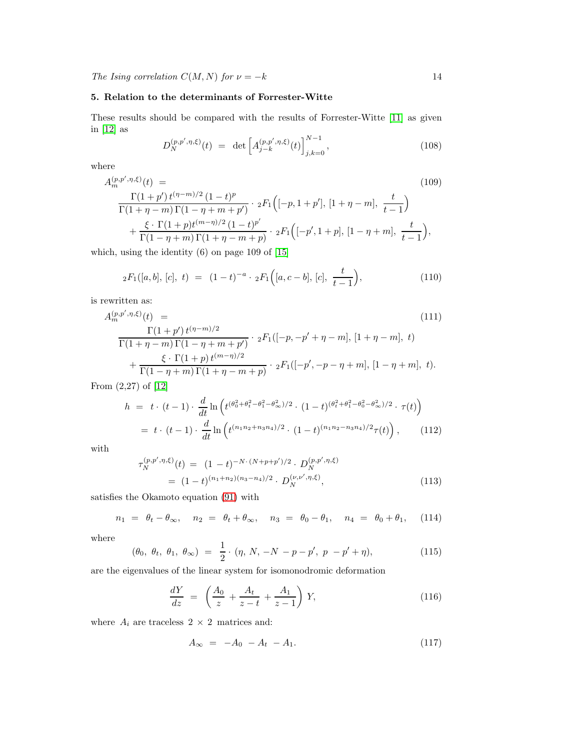## <span id="page-13-0"></span>5. Relation to the determinants of Forrester-Witte

These results should be compared with the results of Forrester-Witte [\[11\]](#page-29-10) as given in [\[12\]](#page-29-11) as

<span id="page-13-7"></span><span id="page-13-6"></span>
$$
D_N^{(p,p',\eta,\xi)}(t) = \det \left[ A_{j-k}^{(p,p',\eta,\xi)}(t) \right]_{j,k=0}^{N-1}, \tag{108}
$$

where

$$
A_{m}^{(p,p',\eta,\xi)}(t) = \qquad (109)
$$
  
\n
$$
\frac{\Gamma(1+p')t^{(\eta-m)/2}(1-t)^{p}}{\Gamma(1+\eta-m)\Gamma(1-\eta+m+p')} \cdot {}_{2}F_{1}\left([-p,1+p'],[1+\eta-m],\frac{t}{t-1}\right)
$$
  
\n
$$
+\frac{\xi \cdot \Gamma(1+p)t^{(m-\eta)/2}(1-t)^{p'}}{\Gamma(1-\eta+m)\Gamma(1+\eta-m+p)} \cdot {}_{2}F_{1}\left([-p',1+p],[1-\eta+m],\frac{t}{t-1}\right),
$$

which, using the identity (6) on page 109 of [\[15\]](#page-29-14)

<span id="page-13-4"></span>
$$
{}_2F_1([a,b],[c],t) = (1-t)^{-a} \cdot {}_2F_1([a,c-b],[c],\frac{t}{t-1}), \qquad (110)
$$

is rewritten as:

$$
A_{m}^{(p,p',\eta,\xi)}(t) = \n\begin{aligned}\n\Gamma(1+p')\,t^{(\eta-m)/2} \\
\frac{\Gamma(1+\eta'-m)\,\Gamma(1-\eta+m+p')}{\Gamma(1+\eta-m)\,\Gamma(1-\eta+m+p')} \cdot {}_{2}F_{1}([-p,-p'+\eta-m], [1+\eta-m], t) \\
&+ \frac{\xi\cdot\Gamma(1+p)\,t^{(m-\eta)/2}}{\Gamma(1-\eta+m)\,\Gamma(1+\eta-m+p)} \cdot {}_{2}F_{1}([-p',-p-\eta+m], [1-\eta+m], t).\n\end{aligned}
$$
\n(111)

From (2,27) of [\[12\]](#page-29-11)

<span id="page-13-5"></span>
$$
h = t \cdot (t - 1) \cdot \frac{d}{dt} \ln \left( t^{(\theta_0^2 + \theta_t^2 - \theta_1^2 - \theta_\infty^2)/2} \cdot (1 - t)^{(\theta_t^2 + \theta_1^2 - \theta_0^2 - \theta_\infty^2)/2} \cdot \tau(t) \right)
$$
  
=  $t \cdot (t - 1) \cdot \frac{d}{dt} \ln \left( t^{(n_1 n_2 + n_3 n_4)/2} \cdot (1 - t)^{(n_1 n_2 - n_3 n_4)/2} \tau(t) \right),$  (112)

with

<span id="page-13-3"></span>
$$
\tau_N^{(p,p',\eta,\xi)}(t) = (1-t)^{-N \cdot (N+p+p')/2} \cdot D_N^{(p,p',\eta,\xi)} \n= (1-t)^{(n_1+n_2)(n_3-n_4)/2} \cdot D_N^{(\nu,\nu',\eta,\xi)},
$$
\n(113)

satisfies the Okamoto equation [\(91\)](#page-11-3) with

<span id="page-13-2"></span>
$$
n_1 = \theta_t - \theta_\infty, \quad n_2 = \theta_t + \theta_\infty, \quad n_3 = \theta_0 - \theta_1, \quad n_4 = \theta_0 + \theta_1, \quad (114)
$$

where

<span id="page-13-1"></span>
$$
(\theta_0, \ \theta_t, \ \theta_1, \ \theta_\infty) \ = \ \frac{1}{2} \cdot (\eta, \ N, \ -N-p-p', \ p-p'+\eta), \tag{115}
$$

are the eigenvalues of the linear system for isomonodromic deformation

$$
\frac{dY}{dz} = \left(\frac{A_0}{z} + \frac{A_t}{z - t} + \frac{A_1}{z - 1}\right) Y,
$$
\n(116)

where  $\,A_i$  are traceless 2  $\times$  2 matrices and:

$$
A_{\infty} = -A_0 - A_t - A_1. \tag{117}
$$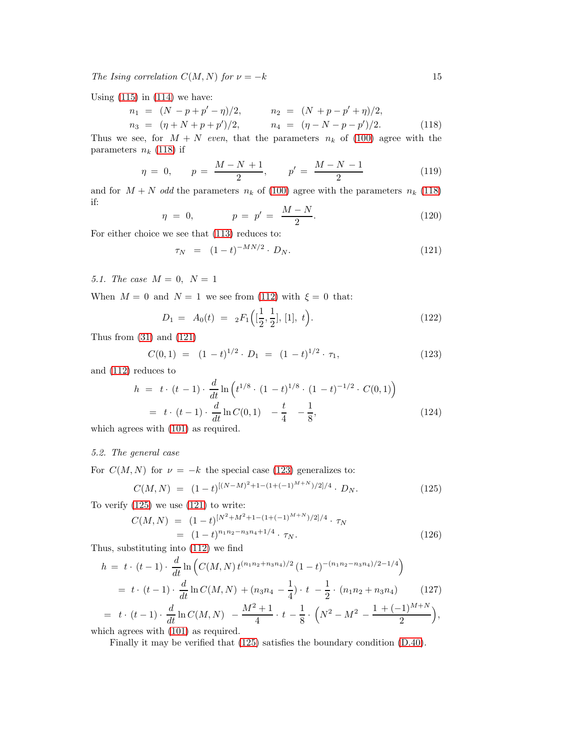Using  $(115)$  in  $(114)$  we have:

<span id="page-14-1"></span>
$$
n_1 = (N - p + p' - \eta)/2, \qquad n_2 = (N + p - p' + \eta)/2, n_3 = (\eta + N + p + p')/2, \qquad n_4 = (\eta - N - p - p')/2.
$$
 (118)

Thus we see, for  $M + N$  even, that the parameters  $n_k$  of [\(100\)](#page-12-0) agree with the parameters  $n_k$  [\(118\)](#page-14-1) if

<span id="page-14-4"></span>
$$
\eta = 0, \qquad p = \frac{M - N + 1}{2}, \qquad p' = \frac{M - N - 1}{2} \tag{119}
$$

and for  $M + N$  odd the parameters  $n_k$  of [\(100\)](#page-12-0) agree with the parameters  $n_k$  [\(118\)](#page-14-1) if:  $M = M$ 

<span id="page-14-5"></span>
$$
\eta = 0, \qquad p = p' = \frac{M - N}{2}.
$$
\n(120)

For either choice we see that [\(113\)](#page-13-3) reduces to:

<span id="page-14-2"></span>
$$
\tau_N = (1 - t)^{-MN/2} \cdot D_N. \tag{121}
$$

<span id="page-14-6"></span>5.1. The case  $M = 0, N = 1$ 

When  $M = 0$  and  $N = 1$  we see from [\(112\)](#page-13-4) with  $\xi = 0$  that:

$$
D_1 = A_0(t) = {}_2F_1\left(\left[\frac{1}{2}, \frac{1}{2}\right], [1], t\right). \tag{122}
$$

Thus from [\(31\)](#page-4-1) and [\(121\)](#page-14-2)

<span id="page-14-3"></span>
$$
C(0,1) = (1-t)^{1/2} \cdot D_1 = (1-t)^{1/2} \cdot \tau_1, \tag{123}
$$

and [\(112\)](#page-13-5) reduces to

$$
h = t \cdot (t - 1) \cdot \frac{d}{dt} \ln \left( t^{1/8} \cdot (1 - t)^{1/8} \cdot (1 - t)^{-1/2} \cdot C(0, 1) \right)
$$
  
=  $t \cdot (t - 1) \cdot \frac{d}{dt} \ln C(0, 1) - \frac{t}{4} - \frac{1}{8}$ , (124)

which agrees with [\(101\)](#page-12-1) as required.

## 5.2. The general case

For  $C(M, N)$  for  $\nu = -k$  the special case [\(123\)](#page-14-3) generalizes to:

<span id="page-14-0"></span>
$$
C(M, N) = (1 - t)^{[(N - M)^2 + 1 - (1 + (-1)^{M + N})/2]/4} \cdot D_N.
$$
 (125)

To verify  $(125)$  we use  $(121)$  to write:

$$
C(M, N) = (1 - t)^{[N^2 + M^2 + 1 - (1 + (-1)^{M+N})/2]/4} \cdot \tau_N
$$
  
= 
$$
(1 - t)^{n_1 n_2 - n_3 n_4 + 1/4} \cdot \tau_N.
$$
 (126)

Thus, substituting into [\(112\)](#page-13-5) we find

$$
h = t \cdot (t - 1) \cdot \frac{d}{dt} \ln \left( C(M, N) t^{(n_1 n_2 + n_3 n_4)/2} (1 - t)^{-(n_1 n_2 - n_3 n_4)/2 - 1/4} \right)
$$
  
=  $t \cdot (t - 1) \cdot \frac{d}{dt} \ln C(M, N) + (n_3 n_4 - \frac{1}{4}) \cdot t - \frac{1}{2} \cdot (n_1 n_2 + n_3 n_4)$  (127)  
=  $t \cdot (t - 1) \cdot \frac{d}{dt} \ln C(M, N) - \frac{M^2 + 1}{4} \cdot t - \frac{1}{8} \cdot \left( N^2 - M^2 - \frac{1 + (-1)^{M+N}}{2} \right)$ ,  
which serves with (101) as required

which agrees with  $(101)$  as required.

Finally it may be verified that [\(125\)](#page-14-0) satisfies the boundary condition [\(D.40\)](#page-27-0).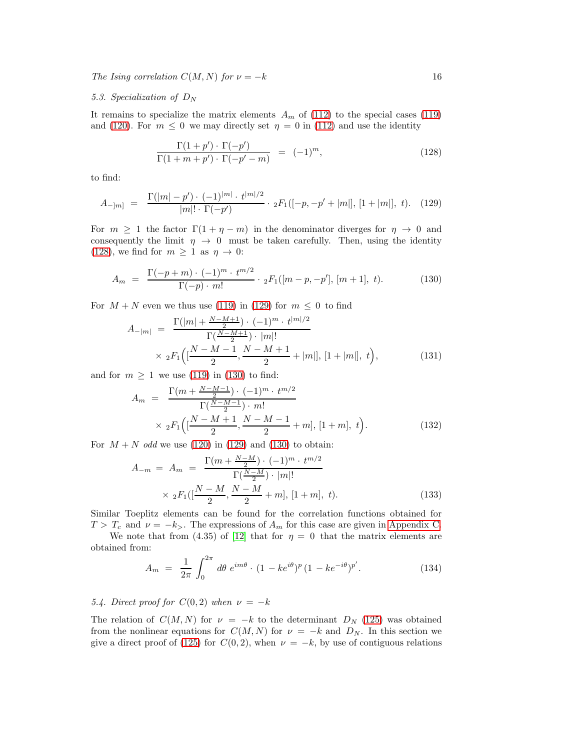#### 5.3. Specialization of  $D_N$

It remains to specialize the matrix elements  $A_m$  of [\(112\)](#page-13-4) to the special cases [\(119\)](#page-14-4) and [\(120\)](#page-14-5). For  $m \leq 0$  we may directly set  $\eta = 0$  in [\(112\)](#page-13-4) and use the identity

<span id="page-15-0"></span>
$$
\frac{\Gamma(1+p') \cdot \Gamma(-p')}{\Gamma(1+m+p') \cdot \Gamma(-p'-m)} = (-1)^m,
$$
\n(128)

to find:

<span id="page-15-1"></span>
$$
A_{-|m|} = \frac{\Gamma(|m| - p') \cdot (-1)^{|m|} \cdot t^{|m|/2}}{|m|! \cdot \Gamma(-p')} \cdot {}_2F_1([-p, -p'+|m|], [1+|m|], t). \tag{129}
$$

For  $m \geq 1$  the factor  $\Gamma(1 + \eta - m)$  in the denominator diverges for  $\eta \to 0$  and consequently the limit  $\eta \to 0$  must be taken carefully. Then, using the identity [\(128\)](#page-15-0), we find for  $m \geq 1$  as  $\eta \to 0$ :

<span id="page-15-2"></span>
$$
A_m = \frac{\Gamma(-p+m) \cdot (-1)^m \cdot t^{m/2}}{\Gamma(-p) \cdot m!} \cdot {}_2F_1([m-p, -p'], [m+1], t). \tag{130}
$$

For  $M + N$  even we thus use [\(119\)](#page-14-4) in [\(129\)](#page-15-1) for  $m \leq 0$  to find

<span id="page-15-3"></span>
$$
A_{-|m|} = \frac{\Gamma(|m| + \frac{N-M+1}{2}) \cdot (-1)^m \cdot t^{|m|/2}}{\Gamma(\frac{N-M+1}{2}) \cdot |m|!} \times {}_2F_1\left( \left[ \frac{N-M-1}{2}, \frac{N-M+1}{2} + |m| \right], [1+|m|], t \right),
$$
\n(131)

and for  $m \geq 1$  we use [\(119\)](#page-14-4) in [\(130\)](#page-15-2) to find:

<span id="page-15-4"></span>
$$
A_m = \frac{\Gamma(m + \frac{N - M - 1}{2}) \cdot (-1)^m \cdot t^{m/2}}{\Gamma(\frac{N - M - 1}{2}) \cdot m!} \times {}_2F_1\left([\frac{N - M + 1}{2}, \frac{N - M - 1}{2} + m], [1 + m], t\right).
$$
 (132)

For  $M + N$  odd we use [\(120\)](#page-14-5) in [\(129\)](#page-15-1) and [\(130\)](#page-15-2) to obtain:

<span id="page-15-5"></span>
$$
A_{-m} = A_m = \frac{\Gamma(m + \frac{N-M}{2}) \cdot (-1)^m \cdot t^{m/2}}{\Gamma(\frac{N-M}{2}) \cdot |m|!} \times {}_2F_1([\frac{N-M}{2}, \frac{N-M}{2} + m], [1+m], t).
$$
 (133)

Similar Toeplitz elements can be found for the correlation functions obtained for  $T > T_c$  and  $\nu = -k_>$ . The expressions of  $A_m$  for this case are given in [Appendix C.](#page-22-0)

We note that from (4.35) of [\[12\]](#page-29-11) that for  $\eta = 0$  that the matrix elements are obtained from:

$$
A_m = \frac{1}{2\pi} \int_0^{2\pi} d\theta \ e^{im\theta} \cdot (1 - ke^{i\theta})^p (1 - ke^{-i\theta})^{p'}.
$$
 (134)

#### 5.4. Direct proof for  $C(0, 2)$  when  $\nu = -k$

The relation of  $C(M, N)$  for  $\nu = -k$  to the determinant  $D_N$  [\(125\)](#page-14-0) was obtained from the nonlinear equations for  $C(M, N)$  for  $\nu = -k$  and  $D_N$ . In this section we give a direct proof of [\(125\)](#page-14-0) for  $C(0, 2)$ , when  $\nu = -k$ , by use of contiguous relations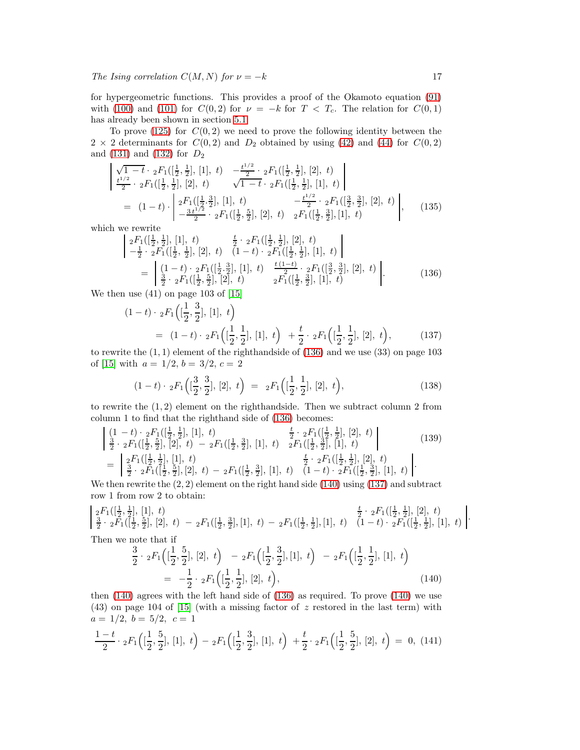for hypergeometric functions. This provides a proof of the Okamoto equation [\(91\)](#page-11-3) with [\(100\)](#page-12-0) and [\(101\)](#page-12-1) for  $C(0, 2)$  for  $\nu = -k$  for  $T < T_c$ . The relation for  $C(0, 1)$ has already been shown in section [5.1.](#page-14-6)

To prove  $(125)$  for  $C(0, 2)$  we need to prove the following identity between the  $2 \times 2$  determinants for  $C(0, 2)$  and  $D_2$  obtained by using [\(42\)](#page-5-3) and [\(44\)](#page-5-4) for  $C(0, 2)$ and  $(131)$  and  $(132)$  for  $D_2$ 

$$
\sqrt{1-t} \cdot {}_{2}F_{1}([\frac{1}{2},\frac{1}{2}], [1], t) - \frac{t^{1/2}}{2} \cdot {}_{2}F_{1}([\frac{1}{2},\frac{1}{2}], [2], t) \n\frac{t^{1/2}}{2} \cdot {}_{2}F_{1}([\frac{1}{2},\frac{1}{2}], [2], t) \qquad \sqrt{1-t} \cdot {}_{2}F_{1}([\frac{1}{2},\frac{1}{2}], [1], t) \n= (1-t) \cdot \begin{vmatrix} 2F_{1}([\frac{1}{2},\frac{3}{2}], [1], t) & -\frac{t^{1/2}}{2} \cdot {}_{2}F_{1}([\frac{3}{2},\frac{3}{2}], [2], t) \\ -\frac{3t^{1/2}}{2} \cdot {}_{2}F_{1}([\frac{1}{2},\frac{5}{2}], [2], t) & {}_{2}F_{1}([\frac{1}{2},\frac{3}{2}], [1], t) \end{vmatrix},
$$
\n(135)

which we rewrite

<span id="page-16-0"></span>
$$
\begin{aligned}\n&\left| \begin{array}{lll}\n2F_1\left(\left[\frac{1}{2},\frac{1}{2}\right],\left[1\right],\ t\right) & \frac{t}{2} \cdot 2F_1\left(\left[\frac{1}{2},\frac{1}{2}\right],\left[2\right],\ t\right) \\
-\frac{1}{2} \cdot 2F_1\left(\left[\frac{1}{2},\frac{1}{2}\right],\left[2\right],\ t\right) & \left(1-t\right) \cdot 2F_1\left(\left[\frac{1}{2},\frac{1}{2}\right],\left[1\right],\ t\right)\n\end{array} \right|\n\end{aligned}\n\right.
$$
\n
$$
= \begin{bmatrix}\n(1-t) \cdot 2F_1\left(\left[\frac{1}{2},\frac{3}{2}\right],\left[1\right],\ t\right) & \frac{t(1-t)}{2} \cdot 2F_1\left(\left[\frac{3}{2},\frac{3}{2}\right],\left[2\right],\ t\right)\n\end{bmatrix}.
$$
\n
$$
= \begin{bmatrix}\n3 \cdot 2F_1\left(\left[\frac{1}{2},\frac{5}{2}\right],\left[2\right],\ t\right) & 2F_1\left(\left[\frac{1}{2},\frac{3}{2}\right],\left[1\right],\ t\right)\n\end{bmatrix}.\n\tag{136}
$$

We then use  $(41)$  on page 103 of [\[15\]](#page-29-14)

<span id="page-16-2"></span>
$$
(1-t)\cdot {}_{2}F_{1}\left([\frac{1}{2},\frac{3}{2}],[1],\ t\right)
$$
  
=  $(1-t)\cdot {}_{2}F_{1}\left([\frac{1}{2},\frac{1}{2}],[1],\ t\right) + \frac{t}{2}\cdot {}_{2}F_{1}\left([\frac{1}{2},\frac{1}{2}],[2],\ t\right),$  (137)

to rewrite the  $(1, 1)$  element of the righthandside of  $(136)$  and we use  $(33)$  on page 103 of [\[15\]](#page-29-14) with  $a = 1/2, b = 3/2, c = 2$ 

$$
(1-t)\cdot {}_2F_1\left(\left[\frac{3}{2},\frac{3}{2}\right],\left[2\right],\ t\right) \ = \ {}_2F_1\left(\left[\frac{1}{2},\frac{1}{2}\right],\left[2\right],\ t\right),\tag{138}
$$

to rewrite the  $(1, 2)$  element on the righthandside. Then we subtract column 2 from column 1 to find that the righthand side of [\(136\)](#page-16-0) becomes:

<span id="page-16-1"></span>
$$
\begin{vmatrix}\n(1-t) \cdot {}_{2}F_{1}([\frac{1}{2},\frac{1}{2}], [1], t) & \frac{t}{2} \cdot {}_{2}F_{1}([\frac{1}{2},\frac{1}{2}], [2], t) \\
\frac{3}{2} \cdot {}_{2}F_{1}([\frac{1}{2},\frac{5}{2}], [2], t) - {}_{2}F_{1}([\frac{1}{2},\frac{3}{2}], [1], t) & {}_{2}F_{1}([\frac{1}{2},\frac{3}{2}], [1], t) \\
= \begin{vmatrix}\n2F_{1}([\frac{1}{2},\frac{1}{2}], [1], t) & \frac{t}{2} \cdot {}_{2}F_{1}([\frac{1}{2},\frac{1}{2}], [2], t) \\
\frac{3}{2} \cdot {}_{2}F_{1}([\frac{1}{2},\frac{5}{2}], [2], t) - {}_{2}F_{1}([\frac{1}{2},\frac{3}{2}], [1], t) & (1-t) \cdot {}_{2}F_{1}([\frac{1}{2},\frac{3}{2}], [1], t)\n\end{vmatrix}.\n\end{vmatrix}.
$$
\n(139)

We then rewrite the  $(2, 2)$  element on the right hand side  $(140)$  using  $(137)$  and subtract row 1 from row 2 to obtain:

$$
\begin{array}{ccc}\n\begin{array}{ccc}\n2F_1([\frac{1}{2},\frac{1}{2}], [1], t) & \frac{t}{2} \cdot 2F_1([\frac{1}{2},\frac{1}{2}], [2], t) \\
\frac{3}{2} \cdot 2F_1([\frac{1}{2},\frac{5}{2}], [2], t) & -2F_1([\frac{1}{2},\frac{3}{2}], [1], t) & -2F_1([\frac{1}{2},\frac{1}{2}], [1], t)\n\end{array}\n\end{array}\n\begin{array}{ccc}\n\frac{t}{2} \cdot 2F_1([\frac{1}{2},\frac{1}{2}], [2], t) \\
\text{Then we note that if}\n\end{array}
$$

Then we note that if

<span id="page-16-3"></span>
$$
\frac{3}{2} \cdot {}_{2}F_{1}\left([\frac{1}{2}, \frac{5}{2}], [2], t\right) - {}_{2}F_{1}\left([\frac{1}{2}, \frac{3}{2}], [1], t\right) - {}_{2}F_{1}\left([\frac{1}{2}, \frac{1}{2}], [1], t\right)
$$
\n
$$
= -\frac{1}{2} \cdot {}_{2}F_{1}\left([\frac{1}{2}, \frac{1}{2}], [2], t\right), \tag{140}
$$

then [\(140\)](#page-16-3) agrees with the left hand side of [\(136\)](#page-16-0) as required. To prove [\(140\)](#page-16-3) we use  $(43)$  on page 104 of [\[15\]](#page-29-14) (with a missing factor of z restored in the last term) with  $a = 1/2, b = 5/2, c = 1$ 

$$
\frac{1-t}{2} \cdot {}_2F_1\left([\frac{1}{2}, \frac{5}{2}], [1], t\right) - {}_2F_1\left([\frac{1}{2}, \frac{3}{2}], [1], t\right) + \frac{t}{2} \cdot {}_2F_1\left([\frac{1}{2}, \frac{5}{2}], [2], t\right) = 0, (141)
$$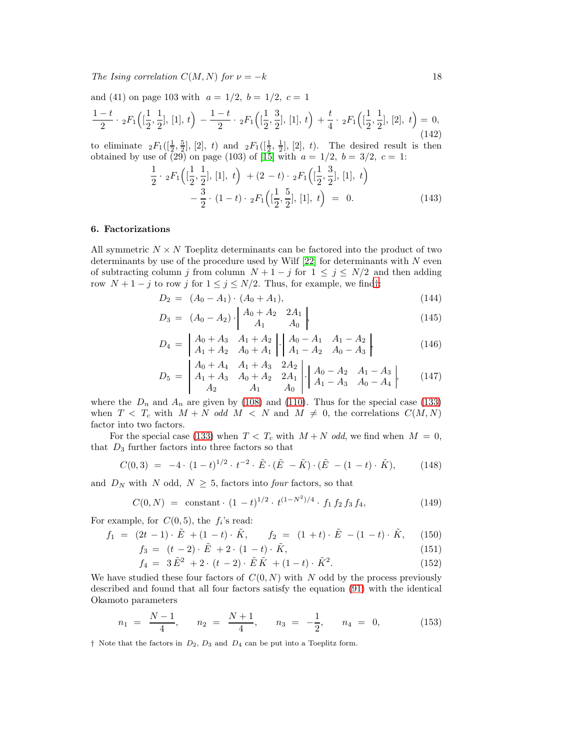and (41) on page 103 with  $a = 1/2$ ,  $b = 1/2$ ,  $c = 1$ 

$$
\frac{1-t}{2} \cdot {}_2F_1\left([\frac{1}{2},\frac{1}{2}], [1], t\right) - \frac{1-t}{2} \cdot {}_2F_1\left([\frac{1}{2},\frac{3}{2}], [1], t\right) + \frac{t}{4} \cdot {}_2F_1\left([\frac{1}{2},\frac{1}{2}], [2], t\right) = 0,
$$
\n(142)

to eliminate  ${}_2F_1([\frac{1}{2},\frac{5}{2}], [2], t)$  and  ${}_2F_1([\frac{1}{2},\frac{1}{2}], [2], t)$ . The desired result is then obtained by use of (29) on page (103) of [\[15\]](#page-29-14) with  $a = 1/2, b = 3/2, c = 1$ :

$$
\frac{1}{2} \cdot {}_{2}F_{1}\left([\frac{1}{2},\frac{1}{2}], [1], t\right) + (2-t) \cdot {}_{2}F_{1}\left([\frac{1}{2},\frac{3}{2}], [1], t\right) \n- \frac{3}{2} \cdot (1-t) \cdot {}_{2}F_{1}\left([\frac{1}{2},\frac{5}{2}], [1], t\right) = 0.
$$
\n(143)

#### <span id="page-17-0"></span>6. Factorizations

All symmetric  $N \times N$  Toeplitz determinants can be factored into the product of two determinants by use of the procedure used by Wilf  $[22]$  for determinants with N even of subtracting column j from column  $N + 1 - j$  for  $1 \leq j \leq N/2$  and then adding row  $N + 1 - j$  to row j for  $1 \le j \le N/2$ . Thus, for example, we find[†](#page-17-1):

$$
D_2 = (A_0 - A_1) \cdot (A_0 + A_1), \tag{144}
$$

$$
D_3 = (A_0 - A_2) \cdot \begin{vmatrix} A_0 + A_2 & 2A_1 \\ A_1 & A_0 \end{vmatrix},
$$
 (145)

$$
D_4 = \begin{bmatrix} A_0 + A_3 & A_1 + A_2 \ A_1 + A_2 & A_0 + A_1 \end{bmatrix} \cdot \begin{bmatrix} A_0 - A_1 & A_1 - A_2 \ A_1 - A_2 & A_0 - A_3 \end{bmatrix},
$$
(146)

$$
D_5 = \begin{vmatrix} A_0 + A_4 & A_1 + A_3 & 2A_2 \ A_1 + A_3 & A_0 + A_2 & 2A_1 \ A_2 & A_1 & A_0 \end{vmatrix} \cdot \begin{vmatrix} A_0 - A_2 & A_1 - A_3 \ A_1 - A_3 & A_0 - A_4 \end{vmatrix}, \quad (147)
$$

where the  $D_n$  and  $A_n$  are given by [\(108\)](#page-13-6) and [\(110\)](#page-13-7). Thus for the special case [\(133\)](#page-15-5) when  $T < T_c$  with  $M + N$  odd  $M < N$  and  $M \neq 0$ , the correlations  $C(M, N)$ factor into two factors.

For the special case [\(133\)](#page-15-5) when  $T < T_c$  with  $M + N$  odd, we find when  $M = 0$ , that  $D_3$  further factors into three factors so that

$$
C(0,3) = -4 \cdot (1-t)^{1/2} \cdot t^{-2} \cdot \tilde{E} \cdot (\tilde{E} - \tilde{K}) \cdot (\tilde{E} - (1-t) \cdot \tilde{K}), \qquad (148)
$$

and  $D_N$  with N odd,  $N \geq 5$ , factors into *four* factors, so that

$$
C(0, N) = \text{constant} \cdot (1 - t)^{1/2} \cdot t^{(1 - N^2)/4} \cdot f_1 f_2 f_3 f_4,\tag{149}
$$

For example, for  $C(0,5)$ , the  $f_i$ 's read:

$$
f_1 = (2t - 1) \cdot \tilde{E} + (1 - t) \cdot \tilde{K}, \qquad f_2 = (1 + t) \cdot \tilde{E} - (1 - t) \cdot \tilde{K}, \qquad (150)
$$

$$
f_3 = (t - 2) \cdot \tilde{E} + 2 \cdot (1 - t) \cdot \tilde{K}, \tag{151}
$$

$$
f_4 = 3\tilde{E}^2 + 2 \cdot (t - 2) \cdot \tilde{E}\tilde{K} + (1 - t) \cdot \tilde{K}^2.
$$
 (152)

We have studied these four factors of  $C(0, N)$  with N odd by the process previously described and found that all four factors satisfy the equation [\(91\)](#page-11-3) with the identical Okamoto parameters

$$
n_1 = \frac{N-1}{4}, \quad n_2 = \frac{N+1}{4}, \quad n_3 = -\frac{1}{2}, \quad n_4 = 0,
$$
 (153)

<span id="page-17-1"></span> $\dagger$  Note that the factors in  $D_2$ ,  $D_3$  and  $D_4$  can be put into a Toeplitz form.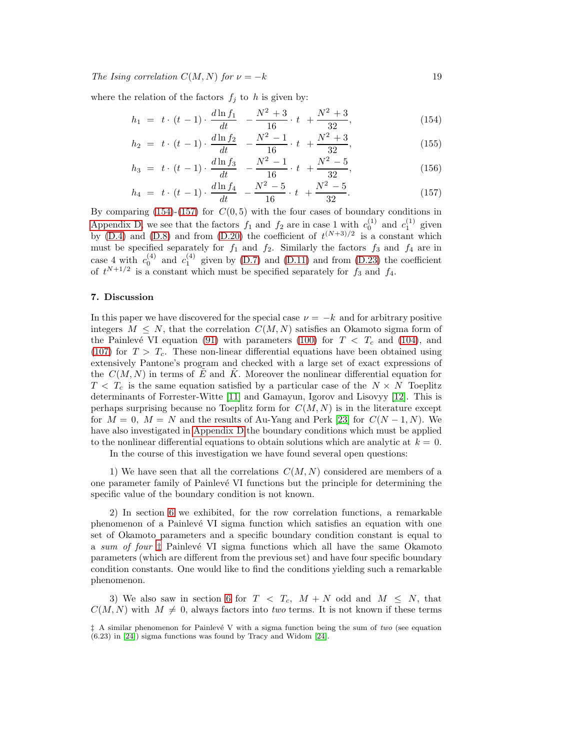where the relation of the factors  $f_j$  to h is given by:

<span id="page-18-1"></span>
$$
h_1 = t \cdot (t - 1) \cdot \frac{d \ln f_1}{dt} - \frac{N^2 + 3}{16} \cdot t + \frac{N^2 + 3}{32}, \tag{154}
$$

$$
h_2 = t \cdot (t - 1) \cdot \frac{d \ln f_2}{dt} - \frac{N^2 - 1}{16} \cdot t + \frac{N^2 + 3}{32}, \tag{155}
$$

$$
h_3 = t \cdot (t - 1) \cdot \frac{d \ln f_3}{dt} - \frac{N^2 - 1}{16} \cdot t + \frac{N^2 - 5}{32}, \tag{156}
$$

$$
h_4 = t \cdot (t - 1) \cdot \frac{d \ln f_4}{dt} - \frac{N^2 - 5}{16} \cdot t + \frac{N^2 - 5}{32}.
$$
 (157)

By comparing  $(154)-(157)$  $(154)-(157)$  for  $C(0,5)$  with the four cases of boundary conditions in [Appendix D,](#page-23-0) we see that the factors  $f_1$  and  $f_2$  are in case 1 with  $c_0^{(1)}$  and  $c_1^{(1)}$  given by [\(D.4\)](#page-23-1) and [\(D.8\)](#page-23-2) and from [\(D.20\)](#page-25-0) the coefficient of  $t^{(N+3)/2}$  is a constant which must be specified separately for  $f_1$  and  $f_2$ . Similarly the factors  $f_3$  and  $f_4$  are in case 4 with  $c_0^{(4)}$  and  $c_1^{(4)}$  given by [\(D.7\)](#page-23-1) and [\(D.11\)](#page-23-2) and from [\(D.23\)](#page-25-0) the coefficient of  $t^{N+1/2}$  is a constant which must be specified separately for  $f_3$  and  $f_4$ .

#### <span id="page-18-0"></span>7. Discussion

In this paper we have discovered for the special case  $\nu = -k$  and for arbitrary positive integers  $M \leq N$ , that the correlation  $C(M, N)$  satisfies an Okamoto sigma form of the Painlevé VI equation [\(91\)](#page-11-3) with parameters [\(100\)](#page-12-0) for  $T < T_c$  and [\(104\)](#page-12-2), and [\(107\)](#page-12-3) for  $T > T_c$ . These non-linear differential equations have been obtained using extensively Pantone's program and checked with a large set of exact expressions of the  $C(M, N)$  in terms of E and K. Moreover the nonlinear differential equation for  $T < T_c$  is the same equation satisfied by a particular case of the  $N \times N$  Toeplitz determinants of Forrester-Witte [\[11\]](#page-29-10) and Gamayun, Igorov and Lisovyy [\[12\]](#page-29-11). This is perhaps surprising because no Toeplitz form for  $C(M, N)$  is in the literature except for  $M = 0$ ,  $M = N$  and the results of Au-Yang and Perk [\[23\]](#page-29-22) for  $C(N-1,N)$ . We have also investigated in [Appendix D](#page-23-0) the boundary conditions which must be applied to the nonlinear differential equations to obtain solutions which are analytic at  $k = 0$ .

In the course of this investigation we have found several open questions:

1) We have seen that all the correlations  $C(M, N)$  considered are members of a one parameter family of Painlevé VI functions but the principle for determining the specific value of the boundary condition is not known.

2) In section [6](#page-17-0) we exhibited, for the row correlation functions, a remarkable phenomenon of a Painlev´e VI sigma function which satisfies an equation with one set of Okamoto parameters and a specific boundary condition constant is equal to a sum of four  $\ddagger$  Painlevé VI sigma functions which all have the same Okamoto parameters (which are different from the previous set) and have four specific boundary condition constants. One would like to find the conditions yielding such a remarkable phenomenon.

3) We also saw in section [6](#page-17-0) for  $T < T_c$ ,  $M + N$  odd and  $M \leq N$ , that  $C(M, N)$  with  $M \neq 0$ , always factors into two terms. It is not known if these terms

<span id="page-18-2"></span> $\ddagger$  A similar phenomenon for Painlevé V with a sigma function being the sum of two (see equation (6.23) in [\[24\]](#page-29-23)) sigma functions was found by Tracy and Widom [\[24\]](#page-29-23).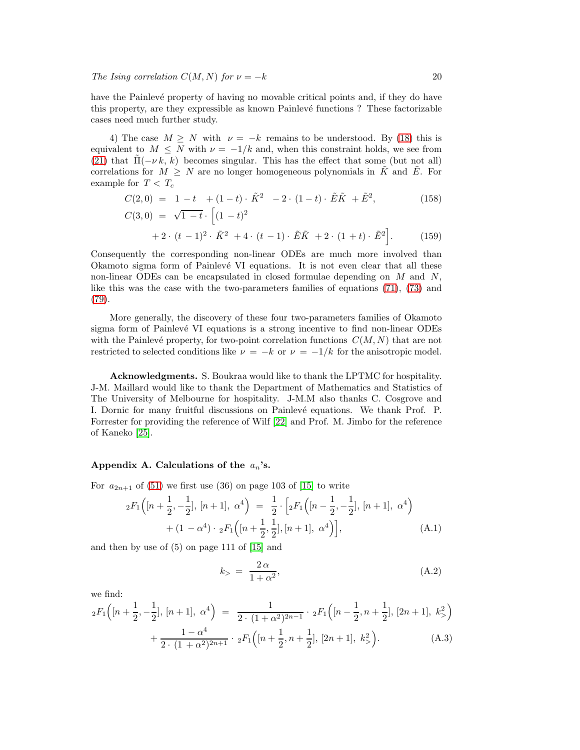have the Painlevé property of having no movable critical points and, if they do have this property, are they expressible as known Painlevé functions ? These factorizable cases need much further study.

4) The case  $M \geq N$  with  $\nu = -k$  remains to be understood. By [\(18\)](#page-2-3) this is equivalent to  $M \leq N$  with  $\nu = -1/k$  and, when this constraint holds, we see from [\(21\)](#page-3-4) that  $\Pi(-\nu k, k)$  becomes singular. This has the effect that some (but not all) correlations for  $M \geq N$  are no longer homogeneous polynomials in  $\tilde{K}$  and  $\tilde{E}$ . For example for  $T < T_c$ 

$$
C(2,0) = 1 - t + (1 - t) \cdot \tilde{K}^2 - 2 \cdot (1 - t) \cdot \tilde{E}\tilde{K} + \tilde{E}^2,
$$
  
\n
$$
C(3,0) = \sqrt{1 - t} \cdot \left[ (1 - t)^2 \right]
$$
\n(158)

+2 
$$
\cdot (t-1)^2 \cdot \tilde{K}^2 + 4 \cdot (t-1) \cdot \tilde{E}\tilde{K} + 2 \cdot (1+t) \cdot \tilde{E}^2
$$
 (159)

Consequently the corresponding non-linear ODEs are much more involved than Okamoto sigma form of Painlevé VI equations. It is not even clear that all these non-linear ODEs can be encapsulated in closed formulae depending on  $M$  and  $N$ , like this was the case with the two-parameters families of equations [\(71\)](#page-8-1), [\(73\)](#page-8-2) and [\(79\)](#page-9-1).

More generally, the discovery of these four two-parameters families of Okamoto sigma form of Painlevé VI equations is a strong incentive to find non-linear ODEs with the Painlevé property, for two-point correlation functions  $C(M, N)$  that are not restricted to selected conditions like  $\nu = -k$  or  $\nu = -1/k$  for the anisotropic model.

Acknowledgments. S. Boukraa would like to thank the LPTMC for hospitality. J-M. Maillard would like to thank the Department of Mathematics and Statistics of The University of Melbourne for hospitality. J-M.M also thanks C. Cosgrove and I. Dornic for many fruitful discussions on Painlevé equations. We thank Prof. P. Forrester for providing the reference of Wilf [\[22\]](#page-29-21) and Prof. M. Jimbo for the reference of Kaneko [\[25\]](#page-29-24).

#### <span id="page-19-0"></span>Appendix A. Calculations of the  $a_n$ 's.

For  $a_{2n+1}$  of [\(51\)](#page-6-3) we first use (36) on page 103 of [\[15\]](#page-29-14) to write

$$
{}_{2}F_{1}\left([n+\frac{1}{2},-\frac{1}{2}],[n+1], \alpha^{4}\right) = \frac{1}{2} \cdot \left[ {}_{2}F_{1}\left([n-\frac{1}{2},-\frac{1}{2}],[n+1], \alpha^{4}\right) + (1-\alpha^{4}) \cdot {}_{2}F_{1}\left([n+\frac{1}{2},\frac{1}{2}],[n+1], \alpha^{4}\right) \right],
$$
\n(A.1)

and then by use of (5) on page 111 of [\[15\]](#page-29-14) and

<span id="page-19-2"></span>
$$
k_{>} = \frac{2\,\alpha}{1 + \alpha^2},\tag{A.2}
$$

we find:

<span id="page-19-1"></span>
$$
{}_{2}F_{1}\left([n+\frac{1}{2},-\frac{1}{2}], [n+1], \alpha^{4}\right) = \frac{1}{2 \cdot (1+\alpha^{2})^{2n-1}} \cdot {}_{2}F_{1}\left([n-\frac{1}{2}, n+\frac{1}{2}], [2n+1], k_{>}^{2}\right) + \frac{1-\alpha^{4}}{2 \cdot (1+\alpha^{2})^{2n+1}} \cdot {}_{2}F_{1}\left([n+\frac{1}{2}, n+\frac{1}{2}], [2n+1], k_{>}^{2}\right).
$$
 (A.3)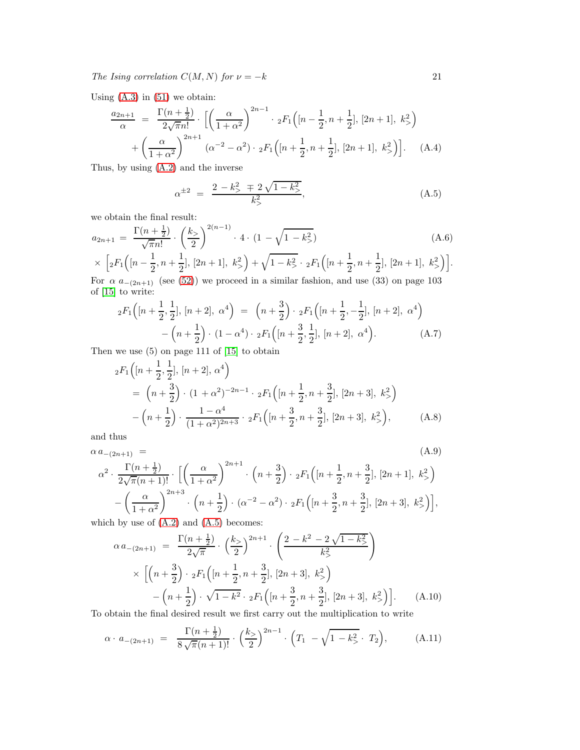Using  $(A.3)$  in  $(51)$  we obtain:

$$
\frac{a_{2n+1}}{\alpha} = \frac{\Gamma(n+\frac{1}{2})}{2\sqrt{\pi n!}} \cdot \left[ \left( \frac{\alpha}{1+\alpha^2} \right)^{2n-1} \cdot {}_2F_1 \left( [n-\frac{1}{2}, n+\frac{1}{2}], [2n+1], k^2 \right) \right] + \left( \frac{\alpha}{1+\alpha^2} \right)^{2n+1} (\alpha^{-2} - \alpha^2) \cdot {}_2F_1 \left( [n+\frac{1}{2}, n+\frac{1}{2}], [2n+1], k^2 \right) \right].
$$
 (A.4)

Thus, by using [\(A.2\)](#page-19-2) and the inverse

<span id="page-20-1"></span><span id="page-20-0"></span>
$$
\alpha^{\pm 2} = \frac{2 - k_{>}^2 \mp 2\sqrt{1 - k_{>}^2}}{k_{>}^2},\tag{A.5}
$$

we obtain the final result:

$$
a_{2n+1} = \frac{\Gamma(n + \frac{1}{2})}{\sqrt{\pi n!}} \cdot \left(\frac{k}{2}\right)^{2(n-1)} \cdot 4 \cdot (1 - \sqrt{1 - k_{>}^2})
$$
\n(A.6)

$$
\times \left[ {}_{2}F_{1}\left( [n-\frac{1}{2}, n+\frac{1}{2}], [2n+1], k_{>}^{2} \right) + \sqrt{1-k_{>}^{2}} \cdot {}_{2}F_{1}\left( [n+\frac{1}{2}, n+\frac{1}{2}], [2n+1], k_{>}^{2} \right) \right].
$$
  
For  $\alpha$   $a_{-(2n+1)}$  (see (52)) we proceed in a similar fashion, and use (33) on page 103

For  $\alpha$   $a_{-(2n+1)}$  (see [\(52\)](#page-6-4)) we proceed in a similar fashion, and use (33) on page 103 of [\[15\]](#page-29-14) to write:

$$
{}_2F_1\left([n+\frac{1}{2},\frac{1}{2}],[n+2],\alpha^4\right) = \left(n+\frac{3}{2}\right)\cdot {}_2F_1\left([n+\frac{1}{2},-\frac{1}{2}],[n+2],\alpha^4\right) - \left(n+\frac{1}{2}\right)\cdot (1-\alpha^4)\cdot {}_2F_1\left([n+\frac{3}{2},\frac{1}{2}],[n+2],\alpha^4\right).
$$
 (A.7)

Then we use (5) on page 111 of [\[15\]](#page-29-14) to obtain

$$
{}_{2}F_{1}\left([n+\frac{1}{2},\frac{1}{2}],[n+2],\alpha^{4}\right)
$$
  
=  $\left(n+\frac{3}{2}\right)\cdot(1+\alpha^{2})^{-2n-1}\cdot {}_{2}F_{1}\left([n+\frac{1}{2},n+\frac{3}{2}],[2n+3],k^{2}\right)$   
-  $\left(n+\frac{1}{2}\right)\cdot\frac{1-\alpha^{4}}{(1+\alpha^{2})^{2n+3}}\cdot {}_{2}F_{1}\left([n+\frac{3}{2},n+\frac{3}{2}],[2n+3],k^{2}\right),$  (A.8)

and thus

$$
\alpha a_{-(2n+1)} = (A.9)
$$
\n
$$
\alpha^{2} \cdot \frac{\Gamma(n+\frac{1}{2})}{2\sqrt{\pi}(n+1)!} \cdot \left[ \left( \frac{\alpha}{1+\alpha^{2}} \right)^{2n+1} \cdot \left( n+\frac{3}{2} \right) \cdot {}_{2}F_{1} \left( [n+\frac{1}{2}, n+\frac{3}{2}], [2n+1], k_{>}^{2} \right) - \left( \frac{\alpha}{1+\alpha^{2}} \right)^{2n+3} \cdot \left( n+\frac{1}{2} \right) \cdot \left( \alpha^{-2} - \alpha^{2} \right) \cdot {}_{2}F_{1} \left( [n+\frac{3}{2}, n+\frac{3}{2}], [2n+3], k_{>}^{2} \right) \right],
$$
\nwhich by use of (A.2) and (A.5) becomes:

which by use of  $(A.2)$  and  $(A.5)$  becomes:

$$
\alpha a_{-(2n+1)} = \frac{\Gamma(n+\frac{1}{2})}{2\sqrt{\pi}} \cdot \left(\frac{k_>}{2}\right)^{2n+1} \cdot \left(\frac{2-k^2-2\sqrt{1-k_>}^2}{k_>}^2\right)
$$
  
 
$$
\times \left[ \left(n+\frac{3}{2}\right) \cdot {}_2F_1\left([n+\frac{1}{2},n+\frac{3}{2}], [2n+3], k_>}^2\right) - \left(n+\frac{1}{2}\right) \cdot \sqrt{1-k^2} \cdot {}_2F_1\left([n+\frac{3}{2},n+\frac{3}{2}], [2n+3], k_>}^2\right) \right].
$$
 (A.10)

To obtain the final desired result we first carry out the multiplication to write

$$
\alpha \cdot a_{-(2n+1)} = \frac{\Gamma(n+\frac{1}{2})}{8\sqrt{\pi}(n+1)!} \cdot \left(\frac{k}{2}\right)^{2n-1} \cdot \left(T_1 - \sqrt{1-k^2} \cdot T_2\right), \tag{A.11}
$$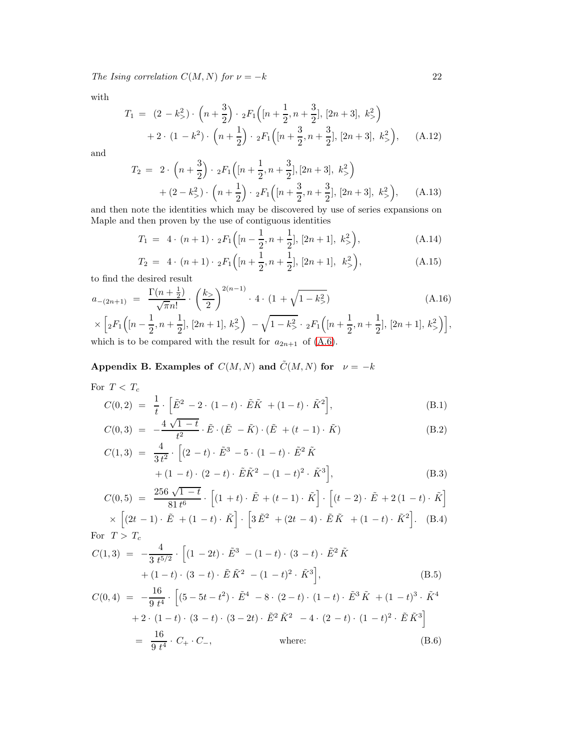with

$$
T_1 = (2 - k_>) \cdot \left(n + \frac{3}{2}\right) \cdot {}_2F_1\left(\left[n + \frac{1}{2}, n + \frac{3}{2}\right], \left[2n + 3\right], k_>}^2\right) + 2 \cdot (1 - k^2) \cdot \left(n + \frac{1}{2}\right) \cdot {}_2F_1\left(\left[n + \frac{3}{2}, n + \frac{3}{2}\right], \left[2n + 3\right], k_>}^2\right), \quad \text{(A.12)}
$$

and

$$
T_2 = 2 \cdot \left(n + \frac{3}{2}\right) \cdot {}_2F_1\left(\left[n + \frac{1}{2}, n + \frac{3}{2}\right], \left[2n + 3\right], k^2 >\right) + \left(2 - k^2 > \cdot \left(n + \frac{1}{2}\right) \cdot {}_2F_1\left(\left[n + \frac{3}{2}, n + \frac{3}{2}\right], \left[2n + 3\right], k^2 >\right), \quad \text{(A.13)}
$$

and then note the identities which may be discovered by use of series expansions on Maple and then proven by the use of contiguous identities

$$
T_1 = 4 \cdot (n+1) \cdot {}_2F_1\left([n-\frac{1}{2}, n+\frac{1}{2}], [2n+1], k^2_{>} \right), \tag{A.14}
$$

$$
T_2 = 4 \cdot (n+1) \cdot {}_2F_1\left([n+\frac{1}{2}, n+\frac{1}{2}], [2n+1], k_>}^2\right), \tag{A.15}
$$

to find the desired result

$$
a_{-(2n+1)} = \frac{\Gamma(n+\frac{1}{2})}{\sqrt{\pi n!}} \cdot \left(\frac{k}{2}\right)^{2(n-1)} \cdot 4 \cdot (1+\sqrt{1-k^2})
$$
\n(A.16)

$$
\times \left[ {}_{2}F_{1}\left( [n-\frac{1}{2}, n+\frac{1}{2}], [2n+1], k_{>}^{2} \right) - \sqrt{1-k_{>}^{2}} \cdot {}_{2}F_{1}\left( [n+\frac{1}{2}, n+\frac{1}{2}], [2n+1], k_{>}^{2} \right) \right],
$$
 which is to be compared with the result for  $a_{2n+1}$  of (A.6).

<span id="page-21-0"></span>Appendix B. Examples of  $C(M, N)$  and  $\tilde{C}(M, N)$  for  $\nu = -k$ 

For  $T < T_c$ 

$$
C(0,2) = \frac{1}{t} \cdot \left[ \tilde{E}^2 - 2 \cdot (1-t) \cdot \tilde{E}\tilde{K} + (1-t) \cdot \tilde{K}^2 \right],
$$
\n(B.1)

$$
C(0,3) = -\frac{4\sqrt{1-t}}{t^2} \cdot \tilde{E} \cdot (\tilde{E} - \tilde{K}) \cdot (\tilde{E} + (t-1) \cdot \tilde{K})
$$
(B.2)

$$
C(1,3) = \frac{4}{3 t^2} \cdot \left[ (2-t) \cdot \tilde{E}^3 - 5 \cdot (1-t) \cdot \tilde{E}^2 \tilde{K} + (1-t) \cdot (2-t) \cdot \tilde{E} \tilde{K}^2 - (1-t)^2 \cdot \tilde{K}^3 \right],
$$
\n(B.3)

$$
C(0,5) = \frac{256\sqrt{1-t}}{81\,t^6} \cdot \left[ (1+t) \cdot \tilde{E} + (t-1) \cdot \tilde{K} \right] \cdot \left[ (t-2) \cdot \tilde{E} + 2(1-t) \cdot \tilde{K} \right] \times \left[ (2t-1) \cdot \tilde{E} + (1-t) \cdot \tilde{K} \right] \cdot \left[ 3\,\tilde{E}^2 + (2t-4) \cdot \tilde{E}\,\tilde{K} + (1-t) \cdot \tilde{K}^2 \right]. \tag{B.4}
$$
  
For  $T > T_c$ 

$$
C(1,3) = -\frac{4}{3 t^{5/2}} \cdot \left[ (1 - 2t) \cdot \tilde{E}^3 - (1 - t) \cdot (3 - t) \cdot \tilde{E}^2 \tilde{K} + (1 - t) \cdot (3 - t) \cdot \tilde{E} \tilde{K}^2 - (1 - t)^2 \cdot \tilde{K}^3 \right],
$$
\n(B.5)

$$
C(0,4) = -\frac{16}{9t^4} \cdot \left[ (5-5t-t^2) \cdot \tilde{E}^4 - 8 \cdot (2-t) \cdot (1-t) \cdot \tilde{E}^3 \tilde{K} + (1-t)^3 \cdot \tilde{K}^4 + 2 \cdot (1-t) \cdot (3-t) \cdot (3-2t) \cdot \tilde{E}^2 \tilde{K}^2 - 4 \cdot (2-t) \cdot (1-t)^2 \cdot \tilde{E} \tilde{K}^3 \right]
$$
  
=  $\frac{16}{9t^4} \cdot C_+ \cdot C_-,$  where: (B.6)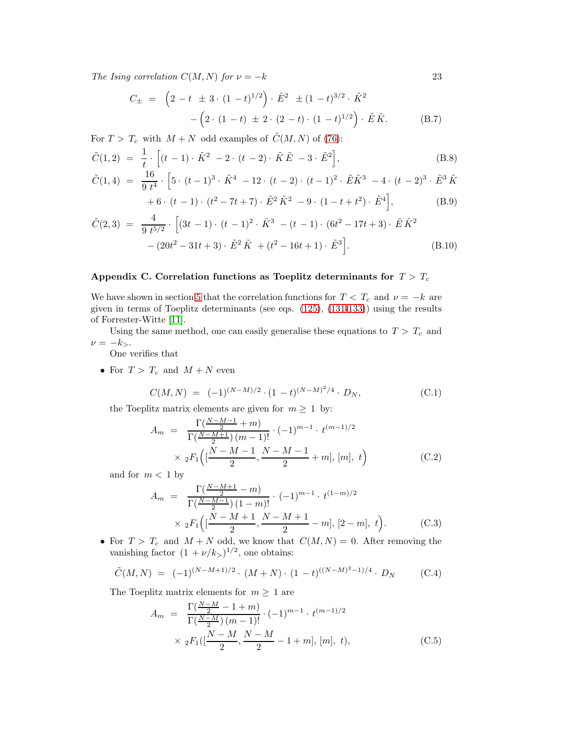$$
C_{\pm} = \left(2 - t \pm 3 \cdot (1 - t)^{1/2}\right) \cdot \tilde{E}^{2} \pm (1 - t)^{3/2} \cdot \tilde{K}^{2}
$$

$$
-\left(2 \cdot (1 - t) \pm 2 \cdot (2 - t) \cdot (1 - t)^{1/2}\right) \cdot \tilde{E} \tilde{K}.
$$
 (B.7)

For  $T > T_c$  with  $M + N$  odd examples of  $\tilde{C}(M, N)$  of [\(76\)](#page-9-4):

$$
\tilde{C}(1,2) = \frac{1}{t} \cdot \left[ (t-1) \cdot \tilde{K}^2 - 2 \cdot (t-2) \cdot \tilde{K} \tilde{E} - 3 \cdot \tilde{E}^2 \right],
$$
\n(B.8)

$$
\tilde{C}(1,4) = \frac{16}{9 t^4} \cdot \left[ 5 \cdot (t-1)^3 \cdot \tilde{K}^4 - 12 \cdot (t-2) \cdot (t-1)^2 \cdot \tilde{E} \tilde{K}^3 - 4 \cdot (t-2)^3 \cdot \tilde{E}^3 \tilde{K} \right] + 6 \cdot (t-1) \cdot (t^2 - 7t + 7) \cdot \tilde{E}^2 \tilde{K}^2 - 9 \cdot (1-t+t^2) \cdot \tilde{E}^4 \right],
$$
\n(B.9)

$$
\tilde{C}(2,3) = \frac{4}{9 t^{5/2}} \cdot \left[ (3t - 1) \cdot (t - 1)^2 \cdot \tilde{K}^3 - (t - 1) \cdot (6t^2 - 17t + 3) \cdot \tilde{E} \tilde{K}^2 - (20t^2 - 31t + 3) \cdot \tilde{E}^2 \tilde{K} + (t^2 - 16t + 1) \cdot \tilde{E}^3 \right].
$$
\n(B.10)

#### <span id="page-22-0"></span>Appendix C. Correlation functions as Toeplitz determinants for  $T > T_c$

We have shown in section [5](#page-13-0) that the correlation functions for  $T < T_c$  and  $\nu = -k$  are given in terms of Toeplitz determinants (see eqs. [\(125\)](#page-14-0), [\(131](#page-15-3)[-133\)](#page-15-5)) using the results of Forrester-Witte [\[11\]](#page-29-10).

Using the same method, one can easily generalise these equations to  $T > T_c$  and  $\nu = -k_{>}$ .

One verifies that

• For  $T > T_c$  and  $M + N$  even

$$
C(M, N) = (-1)^{(N-M)/2} \cdot (1-t)^{(N-M)^2/4} \cdot D_N,
$$
 (C.1)

the Toeplitz matrix elements are given for  $m \geq 1$  by:

$$
A_m = \frac{\Gamma(\frac{N-M-1}{2} + m)}{\Gamma(\frac{N-M+1}{2})(m-1)!} \cdot (-1)^{m-1} \cdot t^{(m-1)/2}
$$
  
 
$$
\times {}_{2}F_{1}\left([\frac{N-M-1}{2}, \frac{N-M-1}{2} + m], [m], t\right)
$$
 (C.2)

and for  $m < 1$  by

$$
A_m = \frac{\Gamma(\frac{N-M+1}{2} - m)}{\Gamma(\frac{N-M-1}{2})(1-m)!} \cdot (-1)^{m-1} \cdot t^{(1-m)/2}
$$
  
 
$$
\times {}_{2}F_{1}\left([\frac{N-M+1}{2}, \frac{N-M+1}{2} - m], [2-m], t\right).
$$
 (C.3)

• For  $T > T_c$  and  $M + N$  odd, we know that  $C(M, N) = 0$ . After removing the vanishing factor  $(1 + \nu/k_>)^{1/2}$ , one obtains:

$$
\tilde{C}(M,N) = (-1)^{(N-M+1)/2} \cdot (M+N) \cdot (1-t)^{((N-M)^2-1)/4} \cdot D_N \qquad (C.4)
$$

The Toeplitz matrix elements for  $m \geq 1$  are

$$
A_m = \frac{\Gamma(\frac{N-M}{2} - 1 + m)}{\Gamma(\frac{N-M}{2})(m-1)!} \cdot (-1)^{m-1} \cdot t^{(m-1)/2}
$$
  
 
$$
\times {}_{2}F_{1}([\frac{N-M}{2}, \frac{N-M}{2} - 1 + m], [m], t), \qquad (C.5)
$$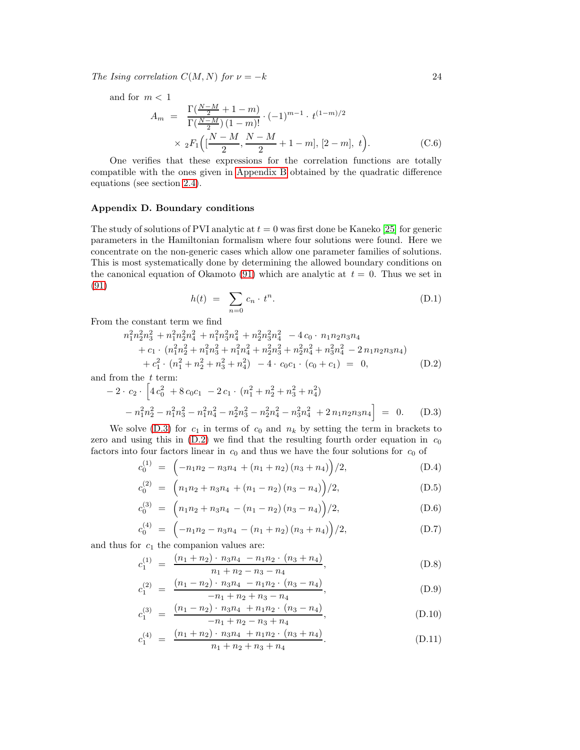and for 
$$
m < 1
$$

$$
A_m = \frac{\Gamma(\frac{N-M}{2} + 1 - m)}{\Gamma(\frac{N-M}{2}) (1 - m)!} \cdot (-1)^{m-1} \cdot t^{(1-m)/2}
$$
  
 
$$
\times {}_{2}F_{1}\left([\frac{N-M}{2}, \frac{N-M}{2} + 1 - m], [2 - m], t\right).
$$
 (C.6)

One verifies that these expressions for the correlation functions are totally compatible with the ones given in [Appendix B](#page-21-0) obtained by the quadratic difference equations (see section [2.4\)](#page-7-1).

## <span id="page-23-0"></span>Appendix D. Boundary conditions

The study of solutions of PVI analytic at  $t = 0$  was first done be Kaneko [\[25\]](#page-29-24) for generic parameters in the Hamiltonian formalism where four solutions were found. Here we concentrate on the non-generic cases which allow one parameter families of solutions. This is most systematically done by determining the allowed boundary conditions on the canonical equation of Okamoto [\(91\)](#page-11-3) which are analytic at  $t = 0$ . Thus we set in [\(91\)](#page-11-3)

$$
h(t) = \sum_{n=0}^{\infty} c_n \cdot t^n.
$$
 (D.1)

From the constant term we find

<span id="page-23-4"></span>
$$
n_1^2 n_2^2 n_3^2 + n_1^2 n_2^2 n_4^2 + n_1^2 n_3^2 n_4^2 + n_2^2 n_3^2 n_4^2 - 4 c_0 \cdot n_1 n_2 n_3 n_4
$$
  
+ c\_1 \cdot (n\_1^2 n\_2^2 + n\_1^2 n\_3^2 + n\_1^2 n\_4^2 + n\_2^2 n\_3^2 + n\_2^2 n\_4^2 + n\_3^2 n\_4^2 - 2 n\_1 n\_2 n\_3 n\_4)  
+ c\_1^2 \cdot (n\_1^2 + n\_2^2 + n\_3^2 + n\_4^2) - 4 \cdot c\_0 c\_1 \cdot (c\_0 + c\_1) = 0, (D.2)

and from the t term:

<span id="page-23-3"></span>
$$
-2 \cdot c_2 \cdot \left[ 4 c_0^2 + 8 c_0 c_1 - 2 c_1 \cdot (n_1^2 + n_2^2 + n_3^2 + n_4^2) - n_1^2 n_2^2 - n_1^2 n_3^2 - n_1^2 n_4^2 - n_2^2 n_3^2 - n_2^2 n_4^2 - n_3^2 n_4^2 + 2 n_1 n_2 n_3 n_4 \right] = 0. \quad (D.3)
$$

We solve  $(D.3)$  for  $c_1$  in terms of  $c_0$  and  $n_k$  by setting the term in brackets to zero and using this in  $(D.2)$  we find that the resulting fourth order equation in  $c_0$ factors into four factors linear in  $c_0$  and thus we have the four solutions for  $c_0$  of

<span id="page-23-1"></span>
$$
c_0^{(1)} = \left(-n_1n_2 - n_3n_4 + (n_1 + n_2)(n_3 + n_4)\right)/2, \tag{D.4}
$$

$$
c_0^{(2)} = \left(n_1 n_2 + n_3 n_4 + (n_1 - n_2) (n_3 - n_4)\right)/2, \tag{D.5}
$$

$$
c_0^{(3)} = \left(n_1 n_2 + n_3 n_4 - (n_1 - n_2) (n_3 - n_4)\right)/2, \tag{D.6}
$$

$$
c_0^{(4)} = \left(-n_1n_2 - n_3n_4 - (n_1 + n_2)(n_3 + n_4)\right)/2, \tag{D.7}
$$

and thus for  $c_1$  the companion values are:

<span id="page-23-2"></span>
$$
c_1^{(1)} = \frac{(n_1 + n_2) \cdot n_3 n_4 - n_1 n_2 \cdot (n_3 + n_4)}{n_1 + n_2 - n_3 - n_4}, \tag{D.8}
$$

$$
c_1^{(2)} = \frac{(n_1 - n_2) \cdot n_3 n_4 - n_1 n_2 \cdot (n_3 - n_4)}{-n_1 + n_2 + n_3 - n_4}, \tag{D.9}
$$

$$
c_1^{(3)} = \frac{(n_1 - n_2) \cdot n_3 n_4 + n_1 n_2 \cdot (n_3 - n_4)}{-n_1 + n_2 - n_3 + n_4}, \tag{D.10}
$$

$$
c_1^{(4)} = \frac{(n_1 + n_2) \cdot n_3 n_4 + n_1 n_2 \cdot (n_3 + n_4)}{n_1 + n_2 + n_3 + n_4}.
$$
 (D.11)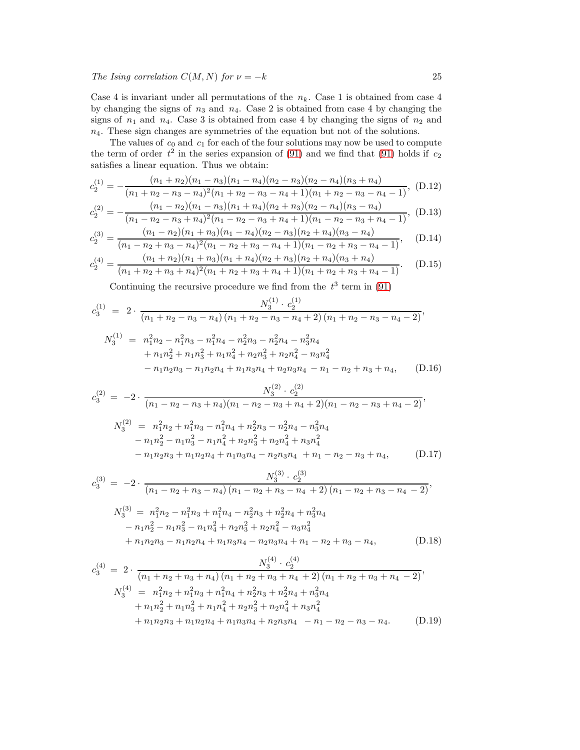Case 4 is invariant under all permutations of the  $n_k$ . Case 1 is obtained from case 4 by changing the signs of  $n_3$  and  $n_4$ . Case 2 is obtained from case 4 by changing the signs of  $n_1$  and  $n_4$ . Case 3 is obtained from case 4 by changing the signs of  $n_2$  and  $n_4$ . These sign changes are symmetries of the equation but not of the solutions.

The values of  $c_0$  and  $c_1$  for each of the four solutions may now be used to compute the term of order  $t^2$  in the series expansion of [\(91\)](#page-11-3) and we find that (91) holds if  $c_2$ satisfies a linear equation. Thus we obtain:

<span id="page-24-0"></span>
$$
c_2^{(1)} = -\frac{(n_1 + n_2)(n_1 - n_3)(n_1 - n_4)(n_2 - n_3)(n_2 - n_4)(n_3 + n_4)}{(n_1 + n_2 - n_3 - n_4)^2 (n_1 + n_2 - n_3 - n_4 + 1)(n_1 + n_2 - n_3 - n_4 - 1)},
$$
(D.12)

$$
c_2^{(2)} = -\frac{(n_1 - n_2)(n_1 - n_3)(n_1 + n_4)(n_2 + n_3)(n_2 - n_4)(n_3 - n_4)}{(n_1 - n_2 - n_3 + n_4)^2 (n_1 - n_2 - n_3 + n_4 + 1)(n_1 - n_2 - n_3 + n_4 - 1)},
$$
(D.13)

$$
c_2^{(3)} = \frac{(n_1 - n_2)(n_1 + n_3)(n_1 - n_4)(n_2 - n_3)(n_2 + n_4)(n_3 - n_4)}{(n_1 - n_2 + n_3 - n_4)^2 (n_1 - n_2 + n_3 - n_4 + 1)(n_1 - n_2 + n_3 - n_4 - 1)},
$$
(D.14)

$$
c_2^{(4)} = \frac{(n_1 + n_2)(n_1 + n_3)(n_1 + n_4)(n_2 + n_3)(n_2 + n_4)(n_3 + n_4)}{(n_1 + n_2 + n_3 + n_4)^2(n_1 + n_2 + n_3 + n_4 + 1)(n_1 + n_2 + n_3 + n_4 - 1)}.
$$
 (D.15)

Continuing the recursive procedure we find from the  $t^3$  term in [\(91\)](#page-11-3)

$$
c_3^{(1)} = 2 \cdot \frac{N_3^{(1)} \cdot c_2^{(1)}}{(n_1 + n_2 - n_3 - n_4)(n_1 + n_2 - n_3 - n_4 + 2)(n_1 + n_2 - n_3 - n_4 - 2)},
$$
  

$$
N_3^{(1)} = n_1^2 n_2 - n_1^2 n_3 - n_2^2 n_4 - n_3^2 n_3 - n_2^2 n_4 - n_3^2 n_4
$$

<span id="page-24-1"></span>
$$
N_3^{(1)} = n_1^2 n_2 - n_1^2 n_3 - n_1^2 n_4 - n_2^2 n_3 - n_2^2 n_4 - n_3^2 n_4
$$
  
+  $n_1 n_2^2 + n_1 n_3^2 + n_1 n_4^2 + n_2 n_3^2 + n_2 n_4^2 - n_3 n_4^2$   
-  $n_1 n_2 n_3 - n_1 n_2 n_4 + n_1 n_3 n_4 + n_2 n_3 n_4 - n_1 - n_2 + n_3 + n_4,$  (D.16)

$$
c_3^{(2)} = -2 \cdot \frac{N_3^{(2)} \cdot c_2^{(2)}}{(n_1 - n_2 - n_3 + n_4)(n_1 - n_2 - n_3 + n_4 + 2)(n_1 - n_2 - n_3 + n_4 - 2)},
$$
  
\n
$$
N_3^{(2)} = n_1^2 n_2 + n_1^2 n_3 - n_1^2 n_4 + n_2^2 n_3 - n_2^2 n_4 - n_3^2 n_4
$$
  
\n
$$
- n_1 n_2^2 - n_1 n_3^2 - n_1 n_4^2 + n_2 n_3^2 + n_2 n_4^2 + n_3 n_4^2
$$
  
\n
$$
- n_1 n_2 n_3 + n_1 n_2 n_4 + n_1 n_3 n_4 - n_2 n_3 n_4 + n_1 - n_2 - n_3 + n_4,
$$
 (D.17)

$$
c_3^{(3)} = -2 \cdot \frac{N_3^{(3)} \cdot c_2^{(3)}}{(n_1 - n_2 + n_3 - n_4)(n_1 - n_2 + n_3 - n_4 + 2)(n_1 - n_2 + n_3 - n_4 - 2)},
$$
  
\n
$$
N_3^{(3)} = n_1^2 n_2 - n_1^2 n_3 + n_1^2 n_4 - n_2^2 n_3 + n_2^2 n_4 + n_3^2 n_4
$$
  
\n
$$
- n_1 n_2^2 - n_1 n_3^2 - n_1 n_4^2 + n_2 n_3^2 + n_2 n_4^2 - n_3 n_4^2
$$

<span id="page-24-2"></span>
$$
+ n_1 n_2 n_3 - n_1 n_2 n_4 + n_1 n_3 n_4 - n_2 n_3 n_4 + n_1 - n_2 + n_3 - n_4,
$$
 (D.18)

$$
c_3^{(4)} = 2 \cdot \frac{N_3^{(4)} \cdot c_2^{(4)}}{(n_1 + n_2 + n_3 + n_4)(n_1 + n_2 + n_3 + n_4 + 2)(n_1 + n_2 + n_3 + n_4 - 2)},
$$
  
\n
$$
N_3^{(4)} = n_1^2 n_2 + n_1^2 n_3 + n_1^2 n_4 + n_2^2 n_3 + n_2^2 n_4 + n_3^2 n_4 + n_1 n_2^2 + n_1 n_3^2 + n_1 n_4^2 + n_2 n_3^2 + n_2 n_4^2 + n_3 n_4^2 + n_1 n_2 n_3 + n_1 n_2 n_4 + n_1 n_3 n_4 + n_2 n_3 n_4 - n_1 - n_2 - n_3 - n_4.
$$
 (D.19)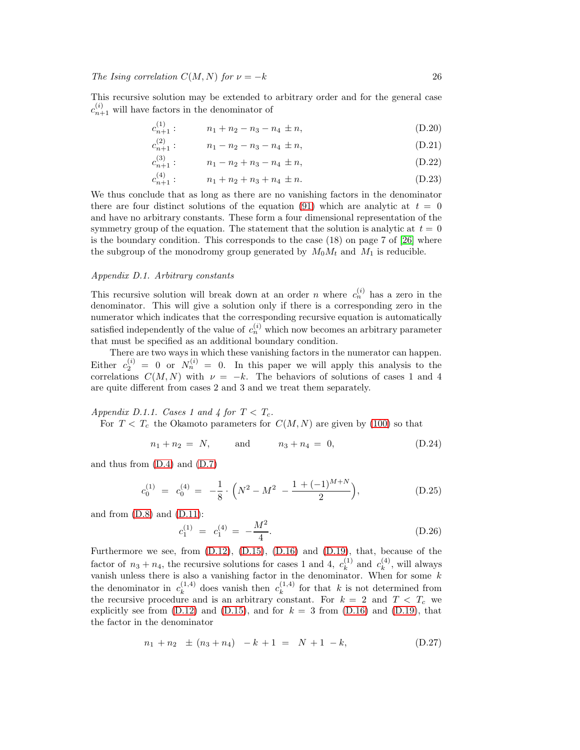This recursive solution may be extended to arbitrary order and for the general case  $c_{n+1}^{(i)}$  will have factors in the denominator of

<span id="page-25-0"></span>
$$
c_{n+1}^{(1)}: \t n_1 + n_2 - n_3 - n_4 \pm n,
$$
\t(D.20)

$$
c_{n+1}^{(2)}: \t n_1 - n_2 - n_3 - n_4 \pm n,
$$
\t(D.21)

$$
c_{n+1}^{(3)}: \t n_1 - n_2 + n_3 - n_4 \pm n,
$$
\t(D.22)

$$
n_{n+1}^{(4)}: \t n_1 + n_2 + n_3 + n_4 \pm n. \t (D.23)
$$

We thus conclude that as long as there are no vanishing factors in the denominator there are four distinct solutions of the equation [\(91\)](#page-11-3) which are analytic at  $t = 0$ and have no arbitrary constants. These form a four dimensional representation of the symmetry group of the equation. The statement that the solution is analytic at  $t = 0$ is the boundary condition. This corresponds to the case  $(18)$  on page 7 of  $[26]$  where the subgroup of the monodromy group generated by  $M_0M_t$  and  $M_1$  is reducible.

#### Appendix D.1. Arbitrary constants

c

This recursive solution will break down at an order n where  $c_n^{(i)}$  has a zero in the denominator. This will give a solution only if there is a corresponding zero in the numerator which indicates that the corresponding recursive equation is automatically satisfied independently of the value of  $c_n^{(i)}$  which now becomes an arbitrary parameter that must be specified as an additional boundary condition.

There are two ways in which these vanishing factors in the numerator can happen. Either  $c_2^{(i)} = 0$  or  $N_n^{(i)} = 0$ . In this paper we will apply this analysis to the correlations  $C(M, N)$  with  $\nu = -k$ . The behaviors of solutions of cases 1 and 4 are quite different from cases 2 and 3 and we treat them separately.

Appendix D.1.1. Cases 1 and 4 for  $T < T_c$ .

For  $T < T_c$  the Okamoto parameters for  $C(M, N)$  are given by [\(100\)](#page-12-0) so that

$$
n_1 + n_2 = N, \qquad \text{and} \qquad n_3 + n_4 = 0, \tag{D.24}
$$

and thus from [\(D.4\)](#page-23-1) and [\(D.7\)](#page-23-1)

$$
c_0^{(1)} = c_0^{(4)} = -\frac{1}{8} \cdot \left( N^2 - M^2 - \frac{1 + (-1)^{M+N}}{2} \right), \tag{D.25}
$$

and from  $(D.8)$  and  $(D.11)$ :

$$
c_1^{(1)} = c_1^{(4)} = -\frac{M^2}{4}.
$$
 (D.26)

Furthermore we see, from [\(D.12\)](#page-24-0), [\(D.15\)](#page-24-0), [\(D.16\)](#page-24-1) and [\(D.19\)](#page-24-2), that, because of the factor of  $n_3 + n_4$ , the recursive solutions for cases 1 and 4,  $c_k^{(1)}$  $\binom{1}{k}$  and  $c_k^{(4)}$  $k^{(4)}$ , will always vanish unless there is also a vanishing factor in the denominator. When for some  $k$ the denominator in  $c_k^{(1,4)}$  $k^{(1,4)}$  does vanish then  $c_k^{(1,4)}$  $\binom{[1,4]}{k}$  for that k is not determined from the recursive procedure and is an arbitrary constant. For  $k = 2$  and  $T < T_c$  we explicitly see from  $(D.12)$  and  $(D.15)$ , and for  $k = 3$  from  $(D.16)$  and  $(D.19)$ , that the factor in the denominator

$$
n_1 + n_2 \pm (n_3 + n_4) - k + 1 = N + 1 - k, \tag{D.27}
$$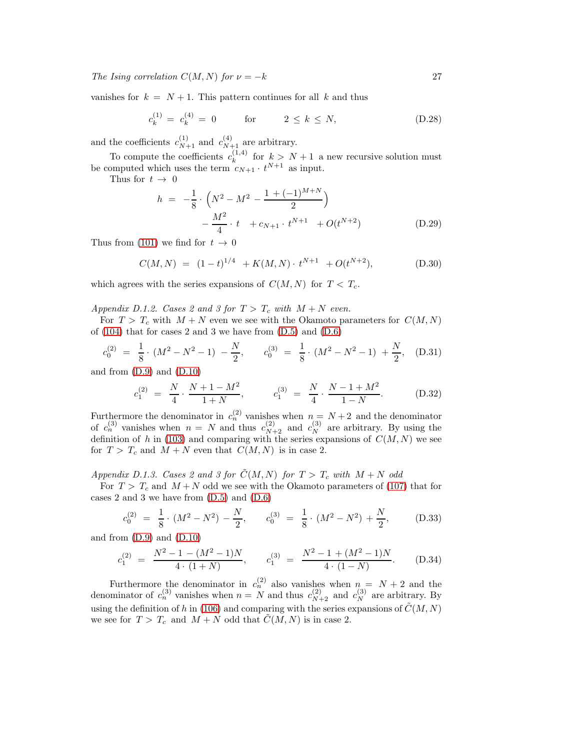vanishes for  $k = N + 1$ . This pattern continues for all k and thus

$$
c_k^{(1)} = c_k^{(4)} = 0 \qquad \text{for} \qquad 2 \le k \le N, \tag{D.28}
$$

and the coefficients  $c_{N+1}^{(1)}$  and  $c_{N+1}^{(4)}$  are arbitrary.

To compute the coefficients  $c_k^{(1,4)}$  $\int_{k}^{(1,4)}$  for  $k > N+1$  a new recursive solution must be computed which uses the term  $c_{N+1} \cdot t^{N+1}$  as input.

Thus for  $t \to 0$ 

$$
h = -\frac{1}{8} \cdot \left( N^2 - M^2 - \frac{1 + (-1)^{M+N}}{2} \right)
$$

$$
- \frac{M^2}{4} \cdot t + c_{N+1} \cdot t^{N+1} + O(t^{N+2})
$$
(D.29)

Thus from [\(101\)](#page-12-1) we find for  $t \to 0$ 

$$
C(M, N) = (1 - t)^{1/4} + K(M, N) \cdot t^{N+1} + O(t^{N+2}), \tag{D.30}
$$

which agrees with the series expansions of  $C(M, N)$  for  $T < T_c$ .

Appendix D.1.2. Cases 2 and 3 for  $T > T_c$  with  $M + N$  even.

For  $T > T_c$  with  $M + N$  even we see with the Okamoto parameters for  $C(M, N)$ of  $(104)$  that for cases 2 and 3 we have from  $(D.5)$  and  $(D.6)$ 

$$
c_0^{(2)} = \frac{1}{8} \cdot (M^2 - N^2 - 1) - \frac{N}{2}, \qquad c_0^{(3)} = \frac{1}{8} \cdot (M^2 - N^2 - 1) + \frac{N}{2}, \quad (D.31)
$$

and from  $(D.9)$  and  $(D.10)$ 

$$
c_1^{(2)} = \frac{N}{4} \cdot \frac{N+1-M^2}{1+N}, \qquad c_1^{(3)} = \frac{N}{4} \cdot \frac{N-1+M^2}{1-N}.
$$
 (D.32)

Furthermore the denominator in  $c_n^{(2)}$  vanishes when  $n = N + 2$  and the denominator of  $c_n^{(3)}$  vanishes when  $n = N$  and thus  $c_{N+2}^{(2)}$  and  $c_N^{(3)}$  are arbitrary. By using the definition of h in [\(103\)](#page-12-4) and comparing with the series expansions of  $C(M, N)$  we see for  $T > T_c$  and  $M + N$  even that  $C(M, N)$  is in case 2.

Appendix D.1.3. Cases 2 and 3 for  $\tilde{C}(M, N)$  for  $T > T_c$  with  $M + N$  odd

For  $T > T_c$  and  $M + N$  odd we see with the Okamoto parameters of [\(107\)](#page-12-3) that for cases 2 and 3 we have from  $(D.5)$  and  $(D.6)$ 

$$
c_0^{(2)} = \frac{1}{8} \cdot (M^2 - N^2) - \frac{N}{2}, \qquad c_0^{(3)} = \frac{1}{8} \cdot (M^2 - N^2) + \frac{N}{2}, \tag{D.33}
$$

and from  $(D.9)$  and  $(D.10)$ 

$$
c_1^{(2)} = \frac{N^2 - 1 - (M^2 - 1)N}{4 \cdot (1 + N)}, \qquad c_1^{(3)} = \frac{N^2 - 1 + (M^2 - 1)N}{4 \cdot (1 - N)}.
$$
 (D.34)

Furthermore the denominator in  $c_n^{(2)}$  also vanishes when  $n = N + 2$  and the denominator of  $c_n^{(3)}$  vanishes when  $n = N$  and thus  $c_{N+2}^{(2)}$  and  $c_N^{(3)}$  are arbitrary. By using the definition of h in [\(106\)](#page-12-5) and comparing with the series expansions of  $\tilde{C}(M, N)$ we see for  $T > T_c$  and  $M + N$  odd that  $\tilde{C}(M, N)$  is in case 2.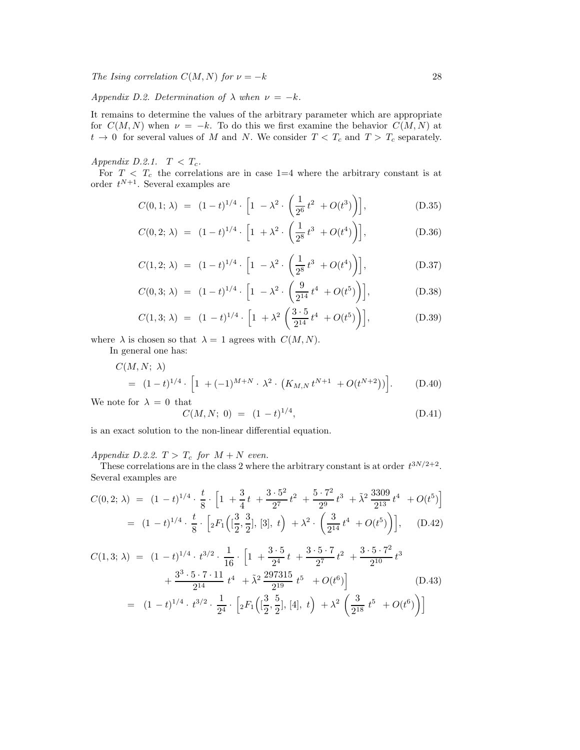Appendix D.2. Determination of  $\lambda$  when  $\nu = -k$ .

It remains to determine the values of the arbitrary parameter which are appropriate for  $C(M, N)$  when  $\nu = -k$ . To do this we first examine the behavior  $C(M, N)$  at  $t \to 0$  for several values of M and N. We consider  $T < T_c$  and  $T > T_c$  separately.

Appendix D.2.1.  $T < T_c$ .

For  $T < T_c$  the correlations are in case 1=4 where the arbitrary constant is at order  $t^{N+1}$ . Several examples are

<span id="page-27-1"></span>
$$
C(0,1;\lambda) = (1-t)^{1/4} \cdot \left[1 - \lambda^2 \cdot \left(\frac{1}{2^6}t^2 + O(t^3)\right)\right],
$$
 (D.35)

$$
C(0,2;\lambda) = (1-t)^{1/4} \cdot \left[1 + \lambda^2 \cdot \left(\frac{1}{2^8}t^3 + O(t^4)\right)\right],
$$
 (D.36)

<span id="page-27-2"></span>
$$
C(1,2;\lambda) = (1-t)^{1/4} \cdot \left[1 - \lambda^2 \cdot \left(\frac{1}{2^8}t^3 + O(t^4)\right)\right],
$$
 (D.37)

$$
C(0,3;\lambda) = (1-t)^{1/4} \cdot \left[1 - \lambda^2 \cdot \left(\frac{9}{2^{14}}t^4 + O(t^5)\right)\right],
$$
 (D.38)

$$
C(1,3;\lambda) = (1-t)^{1/4} \cdot \left[1 + \lambda^2 \left(\frac{3 \cdot 5}{2^{14}} t^4 + O(t^5)\right)\right], \tag{D.39}
$$

where  $\lambda$  is chosen so that  $\lambda = 1$  agrees with  $C(M, N)$ .

In general one has:

<span id="page-27-0"></span>
$$
C(M, N; \lambda)
$$
  
=  $(1-t)^{1/4} \cdot [1 + (-1)^{M+N} \cdot \lambda^2 \cdot (K_{M,N} t^{N+1} + O(t^{N+2}))].$  (D.40)

We note for  $\lambda = 0$  that

$$
C(M, N; 0) = (1 - t)^{1/4}, \tag{D.41}
$$

is an exact solution to the non-linear differential equation.

Appendix D.2.2.  $T > T_c$  for  $M + N$  even.

These correlations are in the class 2 where the arbitrary constant is at order  $t^{3N/2+2}$ . Several examples are

<span id="page-27-3"></span>
$$
C(0,2; \lambda) = (1-t)^{1/4} \cdot \frac{t}{8} \cdot \left[ 1 + \frac{3}{4}t + \frac{3 \cdot 5^2}{2^7}t^2 + \frac{5 \cdot 7^2}{2^9}t^3 + \tilde{\lambda}^2 \frac{3309}{2^{13}}t^4 + O(t^5) \right]
$$
  
=  $(1-t)^{1/4} \cdot \frac{t}{8} \cdot \left[ {}_2F_1\left([\frac{3}{2}, \frac{3}{2}], [3], t\right) + \lambda^2 \cdot \left(\frac{3}{2^{14}}t^4 + O(t^5)\right) \right],$  (D.42)

$$
C(1,3; \lambda) = (1-t)^{1/4} \cdot t^{3/2} \cdot \frac{1}{16} \cdot \left[ 1 + \frac{3 \cdot 5}{2^4} t + \frac{3 \cdot 5 \cdot 7}{2^7} t^2 + \frac{3 \cdot 5 \cdot 7^2}{2^{10}} t^3 + \frac{3^3 \cdot 5 \cdot 7 \cdot 11}{2^{14}} t^4 + \lambda^2 \frac{297315}{2^{19}} t^5 + O(t^6) \right]
$$
(D.43)  
=  $(1-t)^{1/4} \cdot t^{3/2} \cdot \frac{1}{2^4} \cdot \left[ {}_2F_1 \left( \left[ \frac{3}{2}, \frac{5}{2} \right], [4], t \right) + \lambda^2 \left( \frac{3}{2^{18}} t^5 + O(t^6) \right) \right]$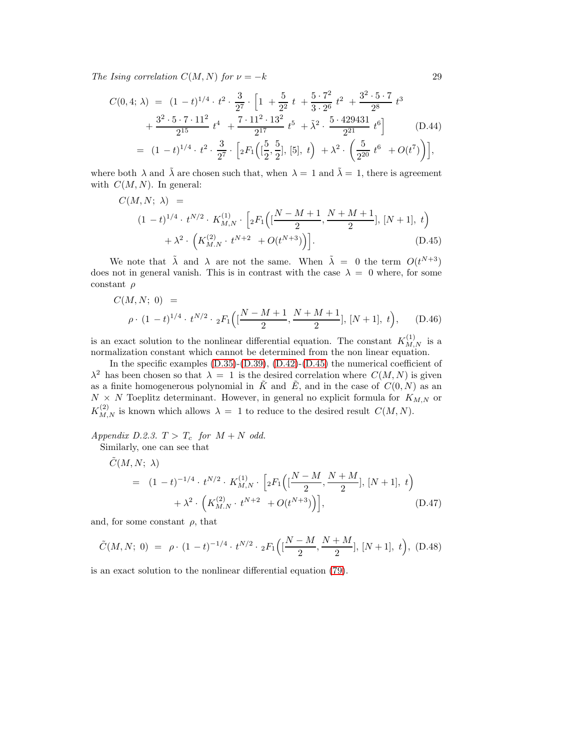<span id="page-28-0"></span>
$$
C(0,4; \lambda) = (1-t)^{1/4} \cdot t^2 \cdot \frac{3}{2^7} \cdot \left[ 1 + \frac{5}{2^2} t + \frac{5 \cdot 7^2}{3 \cdot 2^6} t^2 + \frac{3^2 \cdot 5 \cdot 7}{2^8} t^3 + \frac{3^2 \cdot 5 \cdot 7 \cdot 11^2}{2^{15}} t^4 + \frac{7 \cdot 11^2 \cdot 13^2}{2^{17}} t^5 + \tilde{\lambda}^2 \cdot \frac{5 \cdot 429431}{2^{21}} t^6 \right] \quad (D.44)
$$
  
=  $(1-t)^{1/4} \cdot t^2 \cdot \frac{3}{2^7} \cdot \left[ {}_2F_1 \left( \left[ \frac{5}{2}, \frac{5}{2} \right], [5], t \right) + \lambda^2 \cdot \left( \frac{5}{2^{20}} t^6 + O(t^7) \right) \right],$ 

where both  $\lambda$  and  $\tilde{\lambda}$  are chosen such that, when  $\lambda = 1$  and  $\tilde{\lambda} = 1$ , there is agreement with  $C(M, N)$ . In general:

$$
C(M, N; \lambda) =
$$
  
\n
$$
(1-t)^{1/4} \cdot t^{N/2} \cdot K_{M, N}^{(1)} \cdot \left[ {}_{2}F_{1}\left( \left[ \frac{N-M+1}{2}, \frac{N+M+1}{2} \right], [N+1], t \right) + \lambda^{2} \cdot \left( K_{M, N}^{(2)} \cdot t^{N+2} + O(t^{N+3}) \right) \right].
$$
  
\n(D.45)

We note that  $\tilde{\lambda}$  and  $\lambda$  are not the same. When  $\tilde{\lambda} = 0$  the term  $O(t^{N+3})$ does not in general vanish. This is in contrast with the case  $\lambda = 0$  where, for some constant  $\rho$ 

$$
C(M, N; 0) =
$$
  
\n
$$
\rho \cdot (1 - t)^{1/4} \cdot t^{N/2} \cdot {}_{2}F_{1}\Big(\left[\frac{N - M + 1}{2}, \frac{N + M + 1}{2}\right], [N + 1], t\Big), \quad (D.46)
$$

is an exact solution to the nonlinear differential equation. The constant  $K_{M,N}^{(1)}$  is a normalization constant which cannot be determined from the non linear equation.

In the specific examples  $(D.35)-(D.39)$  $(D.35)-(D.39)$ ,  $(D.42)-(D.45)$  $(D.42)-(D.45)$  the numerical coefficient of  $\lambda^2$  has been chosen so that  $\lambda = 1$  is the desired correlation where  $C(M, N)$  is given as a finite homogenerous polynomial in  $\tilde{K}$  and  $\tilde{E}$ , and in the case of  $C(0, N)$  as an  $N \times N$  Toeplitz determinant. However, in general no explicit formula for  $K_{M,N}$  or  $K_{M,N}^{(2)}$  is known which allows  $\lambda = 1$  to reduce to the desired result  $C(M, N)$ .

Appendix D.2.3.  $T > T_c$  for  $M + N$  odd.

Similarly, one can see that  
\n
$$
\tilde{C}(M, N; \lambda) = (1 - t)^{-1/4} \cdot t^{N/2} \cdot K_{M, N}^{(1)} \cdot \left[ {}_{2}F_{1}\left( \left[ \frac{N - M}{2}, \frac{N + M}{2} \right], [N + 1], t \right) + \lambda^{2} \cdot \left( K_{M, N}^{(2)} \cdot t^{N + 2} + O(t^{N + 3}) \right) \right],
$$
\n(D.47)

and, for some constant  $\rho$ , that

$$
\tilde{C}(M, N; 0) = \rho \cdot (1 - t)^{-1/4} \cdot t^{N/2} \cdot {}_{2}F_{1}\Big([\frac{N - M}{2}, \frac{N + M}{2}], [N + 1], t\Big), \text{ (D.48)}
$$

is an exact solution to the nonlinear differential equation [\(79\)](#page-9-1).